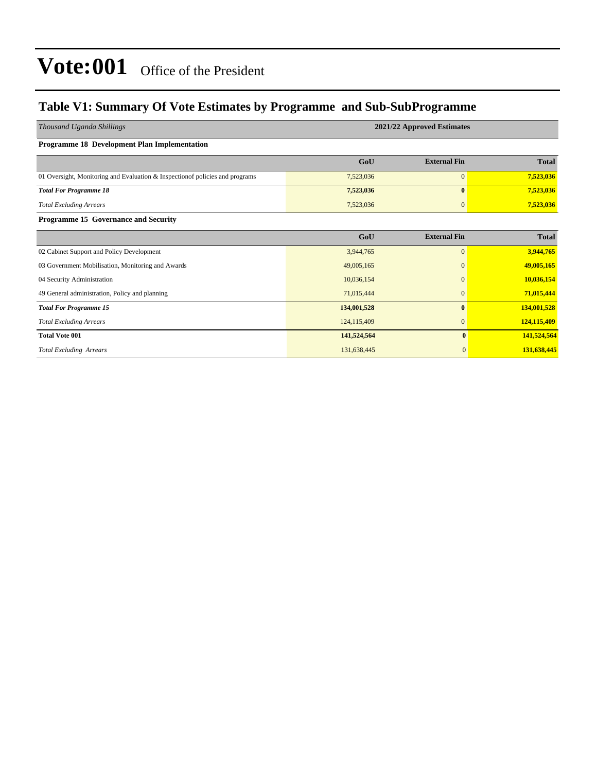#### **Table V1: Summary Of Vote Estimates by Programme and Sub-SubProgramme**

| Thousand Uganda Shillings                                                     | 2021/22 Approved Estimates |                     |              |  |  |  |  |  |
|-------------------------------------------------------------------------------|----------------------------|---------------------|--------------|--|--|--|--|--|
| <b>Programme 18 Development Plan Implementation</b>                           |                            |                     |              |  |  |  |  |  |
|                                                                               | GoU                        | <b>External Fin</b> | <b>Total</b> |  |  |  |  |  |
| 01 Oversight, Monitoring and Evaluation & Inspection of policies and programs | 7,523,036                  | $\mathbf{0}$        | 7,523,036    |  |  |  |  |  |
| <b>Total For Programme 18</b>                                                 | 7,523,036                  | $\bf{0}$            | 7,523,036    |  |  |  |  |  |
| <b>Total Excluding Arrears</b>                                                | 7,523,036                  | $\mathbf{0}$        | 7,523,036    |  |  |  |  |  |
| Programme 15 Governance and Security                                          |                            |                     |              |  |  |  |  |  |
|                                                                               | GoU                        | <b>External Fin</b> | <b>Total</b> |  |  |  |  |  |
| 02 Cabinet Support and Policy Development                                     | 3,944,765                  | $\boldsymbol{0}$    | 3,944,765    |  |  |  |  |  |
| 03 Government Mobilisation, Monitoring and Awards                             | 49,005,165                 | 0                   | 49,005,165   |  |  |  |  |  |
| 04 Security Administration                                                    | 10,036,154                 | 0                   | 10,036,154   |  |  |  |  |  |
| 49 General administration, Policy and planning                                | 71,015,444                 | $\mathbf{0}$        | 71,015,444   |  |  |  |  |  |
| <b>Total For Programme 15</b>                                                 | 134,001,528                | $\bf{0}$            | 134,001,528  |  |  |  |  |  |
| <b>Total Excluding Arrears</b>                                                | 124,115,409                | $\boldsymbol{0}$    | 124,115,409  |  |  |  |  |  |
| <b>Total Vote 001</b>                                                         | 141,524,564                | $\bf{0}$            | 141,524,564  |  |  |  |  |  |
| <b>Total Excluding Arrears</b>                                                | 131,638,445                | $\mathbf{0}$        | 131,638,445  |  |  |  |  |  |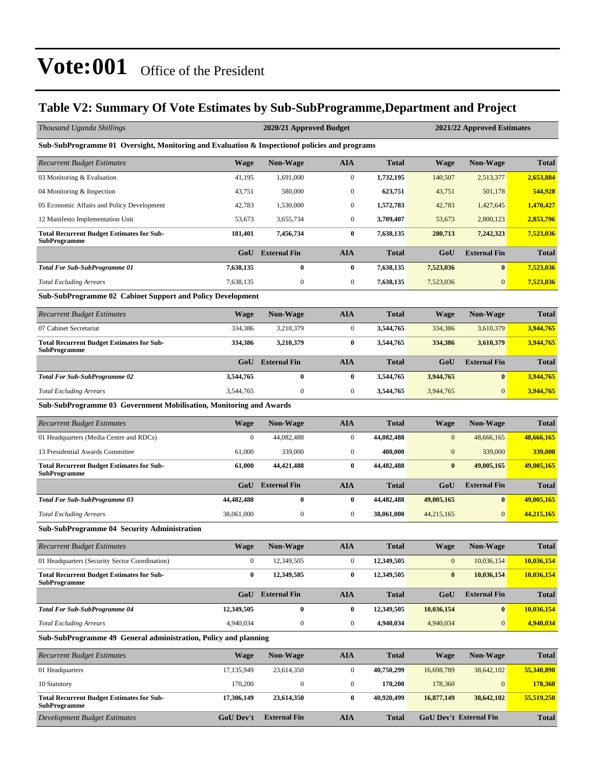#### **Table V2: Summary Of Vote Estimates by Sub-SubProgramme,Department and Project**

| Thousand Uganda Shillings                                                                      |                  | 2020/21 Approved Budget |                  |              |                               | 2021/22 Approved Estimates |              |
|------------------------------------------------------------------------------------------------|------------------|-------------------------|------------------|--------------|-------------------------------|----------------------------|--------------|
| Sub-SubProgramme 01 Oversight, Monitoring and Evaluation & Inspection of policies and programs |                  |                         |                  |              |                               |                            |              |
| Recurrent Budget Estimates                                                                     | Wage             | <b>Non-Wage</b>         | AIA              | <b>Total</b> | <b>Wage</b>                   | <b>Non-Wage</b>            | <b>Total</b> |
| 03 Monitoring & Evaluation                                                                     | 41,195           | 1,691,000               | $\boldsymbol{0}$ | 1,732,195    | 140,507                       | 2,513,377                  | 2,653,884    |
| 04 Monitoring & Inspection                                                                     | 43,751           | 580,000                 | $\boldsymbol{0}$ | 623,751      | 43,751                        | 501,178                    | 544,928      |
| 05 Economic Affairs and Policy Development                                                     | 42,783           | 1,530,000               | $\boldsymbol{0}$ | 1,572,783    | 42,783                        | 1,427,645                  | 1,470,427    |
| 12 Manifesto Implementation Unit                                                               | 53,673           | 3,655,734               | $\boldsymbol{0}$ | 3,709,407    | 53,673                        | 2,800,123                  | 2,853,796    |
| <b>Total Recurrent Budget Estimates for Sub-</b><br>SubProgramme                               | 181,401          | 7,456,734               | 0                | 7,638,135    | 280,713                       | 7,242,323                  | 7,523,036    |
|                                                                                                | GoU              | <b>External Fin</b>     | <b>AIA</b>       | <b>Total</b> | GoU                           | <b>External Fin</b>        | <b>Total</b> |
| Total For Sub-SubProgramme 01                                                                  | 7,638,135        | $\bf{0}$                | $\bf{0}$         | 7,638,135    | 7,523,036                     | $\bf{0}$                   | 7,523,036    |
| <b>Total Excluding Arrears</b>                                                                 | 7,638,135        | $\boldsymbol{0}$        | $\boldsymbol{0}$ | 7,638,135    | 7,523,036                     | $\mathbf{0}$               | 7,523,036    |
| <b>Sub-SubProgramme 02 Cabinet Support and Policy Development</b>                              |                  |                         |                  |              |                               |                            |              |
| Recurrent Budget Estimates                                                                     | Wage             | <b>Non-Wage</b>         | <b>AIA</b>       | <b>Total</b> | <b>Wage</b>                   | <b>Non-Wage</b>            | <b>Total</b> |
| 07 Cabinet Secretariat                                                                         | 334,386          | 3,210,379               | $\boldsymbol{0}$ | 3,544,765    | 334,386                       | 3,610,379                  | 3,944,765    |
| <b>Total Recurrent Budget Estimates for Sub-</b><br>SubProgramme                               | 334,386          | 3,210,379               | 0                | 3,544,765    | 334,386                       | 3,610,379                  | 3,944,765    |
|                                                                                                | GoU              | <b>External Fin</b>     | <b>AIA</b>       | <b>Total</b> | GoU                           | <b>External Fin</b>        | <b>Total</b> |
| Total For Sub-SubProgramme 02                                                                  | 3,544,765        | 0                       | 0                | 3,544,765    | 3,944,765                     | $\bf{0}$                   | 3,944,765    |
| <b>Total Excluding Arrears</b>                                                                 | 3,544,765        | $\boldsymbol{0}$        | $\boldsymbol{0}$ | 3,544,765    | 3,944,765                     | $\mathbf{0}$               | 3,944,765    |
| Sub-SubProgramme 03 Government Mobilisation, Monitoring and Awards                             |                  |                         |                  |              |                               |                            |              |
| Recurrent Budget Estimates                                                                     | <b>Wage</b>      | <b>Non-Wage</b>         | <b>AIA</b>       | <b>Total</b> | <b>Wage</b>                   | <b>Non-Wage</b>            | <b>Total</b> |
| 01 Headquarters (Media Centre and RDCs)                                                        | $\mathbf{0}$     | 44,082,488              | $\boldsymbol{0}$ | 44,082,488   | $\mathbf{0}$                  | 48,666,165                 | 48,666,165   |
| 13 Presidential Awards Committee                                                               | 61,000           | 339,000                 | $\boldsymbol{0}$ | 400,000      | $\boldsymbol{0}$              | 339,000                    | 339,000      |
| <b>Total Recurrent Budget Estimates for Sub-</b><br>SubProgramme                               | 61,000           | 44,421,488              | 0                | 44,482,488   | $\bf{0}$                      | 49,005,165                 | 49,005,165   |
|                                                                                                | GoU              | <b>External Fin</b>     | <b>AIA</b>       | <b>Total</b> | GoU                           | <b>External Fin</b>        | <b>Total</b> |
| <b>Total For Sub-SubProgramme 03</b>                                                           | 44,482,488       | $\bf{0}$                | 0                | 44,482,488   | 49,005,165                    | $\bf{0}$                   | 49,005,165   |
| <b>Total Excluding Arrears</b>                                                                 | 38,061,000       | $\mathbf{0}$            | $\boldsymbol{0}$ | 38,061,000   | 44,215,165                    | $\mathbf{0}$               | 44,215,165   |
| <b>Sub-SubProgramme 04 Security Administration</b>                                             |                  |                         |                  |              |                               |                            |              |
| <b>Recurrent Budget Estimates</b>                                                              | Wage             | <b>Non-Wage</b>         | AIA              | <b>Total</b> | <b>Wage</b>                   | <b>Non-Wage</b>            | <b>Total</b> |
| 01 Headquarters (Security Sector Coordination)                                                 | $\boldsymbol{0}$ | 12,349,505              | $\boldsymbol{0}$ | 12,349,505   | $\boldsymbol{0}$              | 10,036,154                 | 10,036,154   |
| <b>Total Recurrent Budget Estimates for Sub-</b><br>SubProgramme                               | $\bf{0}$         | 12,349,505              | $\bf{0}$         | 12,349,505   | $\boldsymbol{0}$              | 10,036,154                 | 10,036,154   |
|                                                                                                | GoU              | <b>External Fin</b>     | <b>AIA</b>       | <b>Total</b> | GoU                           | <b>External Fin</b>        | <b>Total</b> |
| <b>Total For Sub-SubProgramme 04</b>                                                           | 12,349,505       | $\bf{0}$                | 0                | 12,349,505   | 10,036,154                    | $\bf{0}$                   | 10,036,154   |
| <b>Total Excluding Arrears</b>                                                                 | 4,940,034        | $\boldsymbol{0}$        | $\boldsymbol{0}$ | 4,940,034    | 4,940,034                     | $\mathbf{0}$               | 4,940,034    |
| Sub-SubProgramme 49 General administration, Policy and planning                                |                  |                         |                  |              |                               |                            |              |
| Recurrent Budget Estimates                                                                     | Wage             | Non-Wage                | <b>AIA</b>       | <b>Total</b> | <b>Wage</b>                   | Non-Wage                   | <b>Total</b> |
| 01 Headquarters                                                                                | 17,135,949       | 23,614,350              | 0                | 40,750,299   | 16,698,789                    | 38,642,102                 | 55,340,890   |
| 10 Statutory                                                                                   | 170,200          | $\boldsymbol{0}$        | $\boldsymbol{0}$ | 170,200      | 178,360                       | $\boldsymbol{0}$           | 178,360      |
| <b>Total Recurrent Budget Estimates for Sub-</b><br>SubProgramme                               | 17,306,149       | 23,614,350              | 0                | 40,920,499   | 16,877,149                    | 38,642,102                 | 55,519,250   |
| Development Budget Estimates                                                                   | GoU Dev't        | <b>External Fin</b>     | <b>AIA</b>       | <b>Total</b> | <b>GoU Dev't External Fin</b> |                            | <b>Total</b> |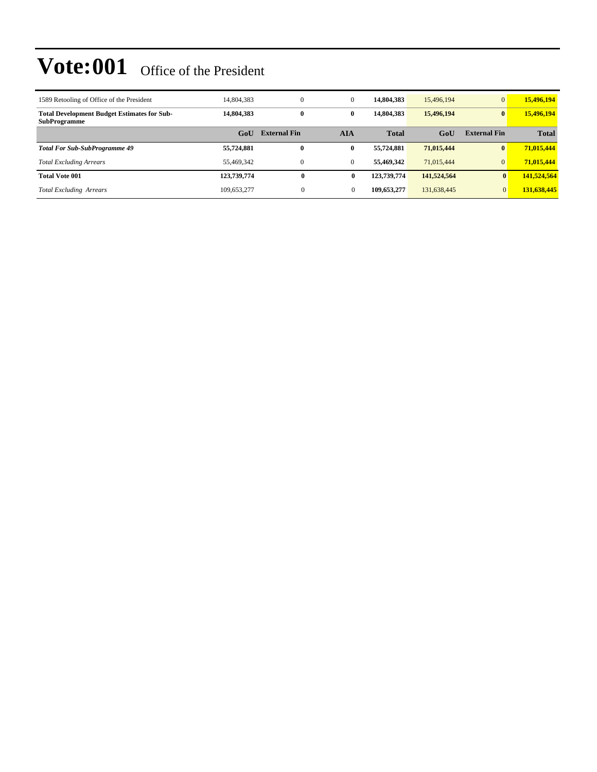| 1589 Retooling of Office of the President                                 | 14,804,383  | $\overline{0}$      | $\mathbf{0}$ | 14,804,383   | 15,496,194  | $\overline{0}$      | 15,496,194   |
|---------------------------------------------------------------------------|-------------|---------------------|--------------|--------------|-------------|---------------------|--------------|
| <b>Total Development Budget Estimates for Sub-</b><br><b>SubProgramme</b> | 14,804,383  | $\bf{0}$            | 0            | 14,804,383   | 15,496,194  | $\mathbf{0}$        | 15,496,194   |
|                                                                           | GoU         | <b>External Fin</b> | AIA          | <b>Total</b> | GoU         | <b>External Fin</b> | <b>Total</b> |
| <b>Total For Sub-SubProgramme 49</b>                                      | 55,724,881  | $\bf{0}$            | 0            | 55,724,881   | 71,015,444  | $\mathbf{0}$        | 71,015,444   |
| <b>Total Excluding Arrears</b>                                            | 55.469.342  | $\overline{0}$      | $\mathbf{0}$ | 55,469,342   | 71.015.444  | $\overline{0}$      | 71,015,444   |
| <b>Total Vote 001</b>                                                     | 123,739,774 | $\mathbf{0}$        | 0            | 123,739,774  | 141,524,564 | $\mathbf{0}$        | 141,524,564  |
| <b>Total Excluding Arrears</b>                                            | 109.653.277 | $\mathbf{0}$        |              | 109.653.277  | 131,638,445 | $\overline{0}$      | 131,638,445  |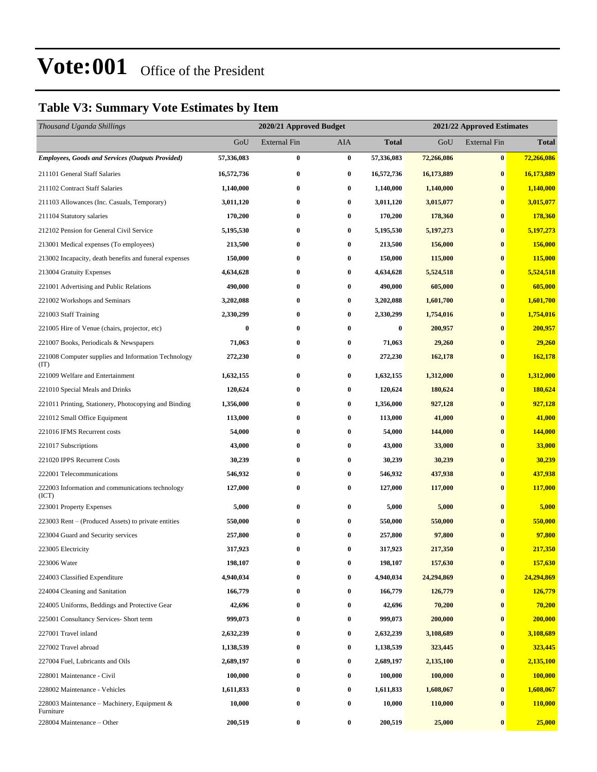#### **Table V3: Summary Vote Estimates by Item**

| Thousand Uganda Shillings                                   |            | 2020/21 Approved Budget |            |              | 2021/22 Approved Estimates |                     |              |
|-------------------------------------------------------------|------------|-------------------------|------------|--------------|----------------------------|---------------------|--------------|
|                                                             | GoU        | <b>External Fin</b>     | <b>AIA</b> | <b>Total</b> | GoU                        | <b>External Fin</b> | <b>Total</b> |
| <b>Employees, Goods and Services (Outputs Provided)</b>     | 57,336,083 | $\bf{0}$                | $\bf{0}$   | 57,336,083   | 72,266,086                 | $\bf{0}$            | 72,266,086   |
| 211101 General Staff Salaries                               | 16,572,736 | $\bf{0}$                | $\bf{0}$   | 16,572,736   | 16,173,889                 | $\bf{0}$            | 16,173,889   |
| 211102 Contract Staff Salaries                              | 1,140,000  | 0                       | $\bf{0}$   | 1,140,000    | 1,140,000                  | $\bf{0}$            | 1,140,000    |
| 211103 Allowances (Inc. Casuals, Temporary)                 | 3,011,120  | $\bf{0}$                | $\bf{0}$   | 3,011,120    | 3,015,077                  | $\bf{0}$            | 3,015,077    |
| 211104 Statutory salaries                                   | 170,200    | 0                       | $\bf{0}$   | 170,200      | 178,360                    | $\bf{0}$            | 178,360      |
| 212102 Pension for General Civil Service                    | 5,195,530  | $\bf{0}$                | $\bf{0}$   | 5,195,530    | 5,197,273                  | $\bf{0}$            | 5,197,273    |
| 213001 Medical expenses (To employees)                      | 213,500    | $\bf{0}$                | $\bf{0}$   | 213,500      | 156,000                    | $\bf{0}$            | 156,000      |
| 213002 Incapacity, death benefits and funeral expenses      | 150,000    | 0                       | $\bf{0}$   | 150,000      | 115,000                    | $\bf{0}$            | 115,000      |
| 213004 Gratuity Expenses                                    | 4,634,628  | $\bf{0}$                | $\bf{0}$   | 4,634,628    | 5,524,518                  | $\bf{0}$            | 5,524,518    |
| 221001 Advertising and Public Relations                     | 490,000    | $\bf{0}$                | $\bf{0}$   | 490,000      | 605,000                    | $\bf{0}$            | 605,000      |
| 221002 Workshops and Seminars                               | 3,202,088  | $\bf{0}$                | $\bf{0}$   | 3,202,088    | 1,601,700                  | $\bf{0}$            | 1,601,700    |
| 221003 Staff Training                                       | 2,330,299  | $\bf{0}$                | $\bf{0}$   | 2,330,299    | 1,754,016                  | $\bf{0}$            | 1,754,016    |
| 221005 Hire of Venue (chairs, projector, etc)               | 0          | 0                       | $\bf{0}$   | $\bf{0}$     | 200,957                    | $\bf{0}$            | 200,957      |
| 221007 Books, Periodicals & Newspapers                      | 71,063     | 0                       | $\bf{0}$   | 71,063       | 29,260                     | $\bf{0}$            | 29,260       |
| 221008 Computer supplies and Information Technology<br>(TT) | 272,230    | $\bf{0}$                | $\bf{0}$   | 272,230      | 162,178                    | $\bf{0}$            | 162,178      |
| 221009 Welfare and Entertainment                            | 1,632,155  | $\bf{0}$                | $\bf{0}$   | 1,632,155    | 1,312,000                  | $\bf{0}$            | 1,312,000    |
| 221010 Special Meals and Drinks                             | 120,624    | 0                       | $\bf{0}$   | 120,624      | 180,624                    | $\bf{0}$            | 180,624      |
| 221011 Printing, Stationery, Photocopying and Binding       | 1,356,000  | $\bf{0}$                | $\bf{0}$   | 1,356,000    | 927,128                    | $\bf{0}$            | 927,128      |
| 221012 Small Office Equipment                               | 113,000    | $\bf{0}$                | $\bf{0}$   | 113,000      | 41,000                     | $\bf{0}$            | 41,000       |
| 221016 IFMS Recurrent costs                                 | 54,000     | $\bf{0}$                | $\bf{0}$   | 54,000       | 144,000                    | $\bf{0}$            | 144,000      |
| 221017 Subscriptions                                        | 43,000     | 0                       | $\bf{0}$   | 43,000       | 33,000                     | $\bf{0}$            | 33,000       |
| 221020 IPPS Recurrent Costs                                 | 30,239     | 0                       | $\bf{0}$   | 30,239       | 30,239                     | $\bf{0}$            | 30,239       |
| 222001 Telecommunications                                   | 546,932    | $\bf{0}$                | $\bf{0}$   | 546,932      | 437,938                    | $\bf{0}$            | 437,938      |
| 222003 Information and communications technology<br>(ICT)   | 127,000    | $\bf{0}$                | $\bf{0}$   | 127,000      | 117,000                    | $\bf{0}$            | 117,000      |
| 223001 Property Expenses                                    | 5,000      | $\bf{0}$                | $\bf{0}$   | 5,000        | 5,000                      | $\bf{0}$            | 5,000        |
| 223003 Rent – (Produced Assets) to private entities         | 550,000    | 0                       | $\bf{0}$   | 550,000      | 550,000                    | $\bf{0}$            | 550,000      |
| 223004 Guard and Security services                          | 257,800    | 0                       | $\bf{0}$   | 257,800      | 97,800                     | $\bf{0}$            | 97,800       |
| 223005 Electricity                                          | 317,923    | $\bf{0}$                | $\bf{0}$   | 317,923      | 217,350                    | $\bf{0}$            | 217,350      |
| 223006 Water                                                | 198,107    | $\bf{0}$                | $\bf{0}$   | 198,107      | 157,630                    | $\bf{0}$            | 157,630      |
| 224003 Classified Expenditure                               | 4,940,034  | $\bf{0}$                | $\bf{0}$   | 4,940,034    | 24,294,869                 | $\bf{0}$            | 24,294,869   |
| 224004 Cleaning and Sanitation                              | 166,779    | $\bf{0}$                | $\bf{0}$   | 166,779      | 126,779                    | $\bf{0}$            | 126,779      |
| 224005 Uniforms, Beddings and Protective Gear               | 42,696     | $\bf{0}$                | $\bf{0}$   | 42,696       | 70,200                     | $\bf{0}$            | 70,200       |
| 225001 Consultancy Services- Short term                     | 999,073    | $\bf{0}$                | $\bf{0}$   | 999,073      | 200,000                    | $\bf{0}$            | 200,000      |
| 227001 Travel inland                                        | 2,632,239  | $\bf{0}$                | $\bf{0}$   | 2,632,239    | 3,108,689                  | $\bf{0}$            | 3,108,689    |
| 227002 Travel abroad                                        | 1,138,539  | $\bf{0}$                | $\bf{0}$   | 1,138,539    | 323,445                    | $\bf{0}$            | 323,445      |
| 227004 Fuel, Lubricants and Oils                            | 2,689,197  | $\bf{0}$                | $\bf{0}$   | 2,689,197    | 2,135,100                  | $\bf{0}$            | 2,135,100    |
| 228001 Maintenance - Civil                                  | 100,000    | $\bf{0}$                | $\bf{0}$   | 100,000      | 100,000                    | $\bf{0}$            | 100,000      |
| 228002 Maintenance - Vehicles                               | 1,611,833  | $\bf{0}$                | $\bf{0}$   | 1,611,833    | 1,608,067                  | $\bf{0}$            | 1,608,067    |
| 228003 Maintenance – Machinery, Equipment &<br>Furniture    | 10,000     | $\bf{0}$                | $\bf{0}$   | 10,000       | 110,000                    | $\bf{0}$            | 110,000      |
| 228004 Maintenance - Other                                  | 200,519    | $\bf{0}$                | $\bf{0}$   | 200,519      | 25,000                     | $\pmb{0}$           | 25,000       |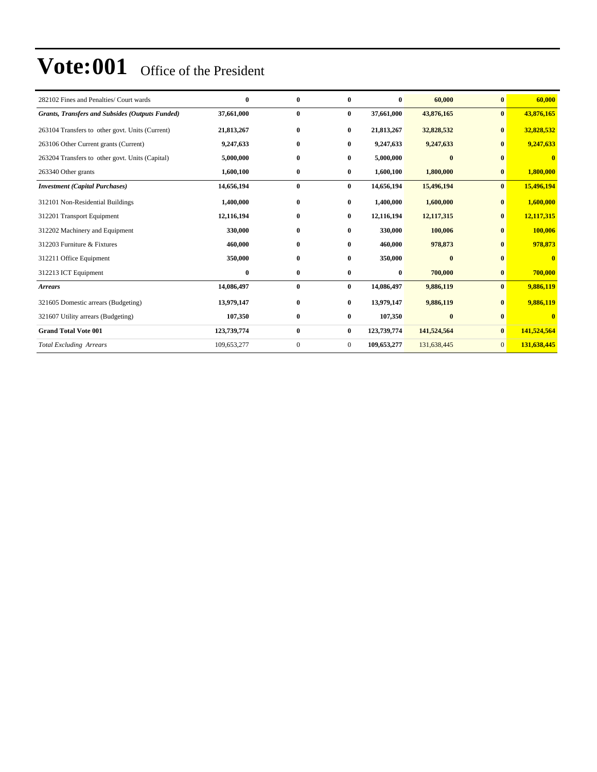| 282102 Fines and Penalties/ Court wards                | $\bf{0}$    | $\bf{0}$     | $\bf{0}$       | $\bf{0}$    | 60,000       | $\bf{0}$        | 60,000                  |
|--------------------------------------------------------|-------------|--------------|----------------|-------------|--------------|-----------------|-------------------------|
| <b>Grants, Transfers and Subsides (Outputs Funded)</b> | 37,661,000  | $\bf{0}$     | $\bf{0}$       | 37,661,000  | 43,876,165   | $\bf{0}$        | 43,876,165              |
| 263104 Transfers to other govt. Units (Current)        | 21,813,267  | $\bf{0}$     | $\bf{0}$       | 21,813,267  | 32,828,532   | $\mathbf{0}$    | 32,828,532              |
| 263106 Other Current grants (Current)                  | 9,247,633   | $\bf{0}$     | $\bf{0}$       | 9,247,633   | 9,247,633    | $\mathbf{0}$    | 9,247,633               |
| 263204 Transfers to other govt. Units (Capital)        | 5,000,000   | $\bf{0}$     | $\bf{0}$       | 5,000,000   | $\bf{0}$     | $\mathbf{0}$    | $\mathbf{0}$            |
| 263340 Other grants                                    | 1,600,100   | $\bf{0}$     | $\bf{0}$       | 1,600,100   | 1,800,000    | $\bf{0}$        | 1,800,000               |
| <b>Investment</b> (Capital Purchases)                  | 14,656,194  | $\bf{0}$     | $\bf{0}$       | 14,656,194  | 15,496,194   | $\bf{0}$        | 15,496,194              |
| 312101 Non-Residential Buildings                       | 1,400,000   | $\bf{0}$     | $\bf{0}$       | 1,400,000   | 1,600,000    | $\bf{0}$        | 1,600,000               |
| 312201 Transport Equipment                             | 12,116,194  | $\bf{0}$     | $\bf{0}$       | 12,116,194  | 12, 117, 315 | $\bf{0}$        | 12,117,315              |
| 312202 Machinery and Equipment                         | 330,000     | $\bf{0}$     | $\bf{0}$       | 330,000     | 100,006      | $\bf{0}$        | 100,006                 |
| 312203 Furniture & Fixtures                            | 460,000     | $\bf{0}$     | $\bf{0}$       | 460,000     | 978,873      | $\bf{0}$        | 978,873                 |
| 312211 Office Equipment                                | 350,000     | $\bf{0}$     | $\bf{0}$       | 350,000     | $\bf{0}$     | $\bf{0}$        | $\overline{\mathbf{0}}$ |
| 312213 ICT Equipment                                   | $\bf{0}$    | $\bf{0}$     | $\bf{0}$       | $\bf{0}$    | 700,000      | $\bf{0}$        | 700,000                 |
| <b>Arrears</b>                                         | 14,086,497  | $\bf{0}$     | $\bf{0}$       | 14,086,497  | 9,886,119    | $\bf{0}$        | 9,886,119               |
| 321605 Domestic arrears (Budgeting)                    | 13,979,147  | $\bf{0}$     | $\bf{0}$       | 13,979,147  | 9,886,119    | $\bf{0}$        | 9,886,119               |
| 321607 Utility arrears (Budgeting)                     | 107,350     | $\bf{0}$     | $\bf{0}$       | 107,350     | $\bf{0}$     | $\mathbf{0}$    | $\bf{0}$                |
| <b>Grand Total Vote 001</b>                            | 123,739,774 | $\bf{0}$     | $\bf{0}$       | 123,739,774 | 141,524,564  | $\bf{0}$        | 141,524,564             |
| <b>Total Excluding Arrears</b>                         | 109,653,277 | $\mathbf{0}$ | $\overline{0}$ | 109,653,277 | 131,638,445  | $\vert 0 \vert$ | 131,638,445             |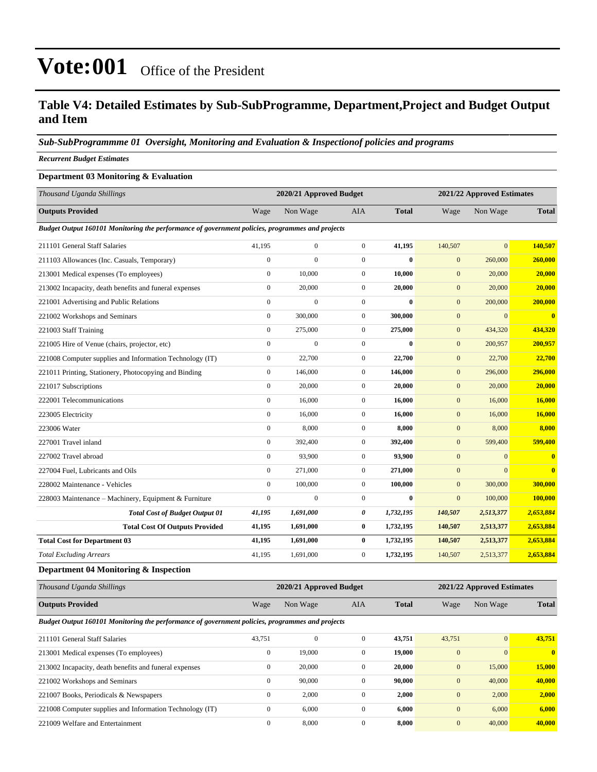#### **Table V4: Detailed Estimates by Sub-SubProgramme, Department,Project and Budget Output and Item**

#### *Sub-SubProgrammme 01 Oversight, Monitoring and Evaluation & Inspectionof policies and programs*

#### *Recurrent Budget Estimates*

#### **Department 03 Monitoring & Evaluation**

| Thousand Uganda Shillings                                                                       |                  | 2020/21 Approved Budget |                  |                  |              | 2021/22 Approved Estimates |                         |  |
|-------------------------------------------------------------------------------------------------|------------------|-------------------------|------------------|------------------|--------------|----------------------------|-------------------------|--|
| <b>Outputs Provided</b>                                                                         | Wage             | Non Wage                | <b>AIA</b>       | <b>Total</b>     | Wage         | Non Wage                   | <b>Total</b>            |  |
| Budget Output 160101 Monitoring the performance of government policies, programmes and projects |                  |                         |                  |                  |              |                            |                         |  |
| 211101 General Staff Salaries                                                                   | 41,195           | $\overline{0}$          | $\overline{0}$   | 41,195           | 140,507      | $\overline{0}$             | 140,507                 |  |
| 211103 Allowances (Inc. Casuals, Temporary)                                                     | $\mathbf{0}$     | $\theta$                | $\overline{0}$   | $\boldsymbol{0}$ | $\mathbf{0}$ | 260,000                    | 260,000                 |  |
| 213001 Medical expenses (To employees)                                                          | $\mathbf{0}$     | 10.000                  | $\overline{0}$   | 10.000           | $\mathbf{0}$ | 20,000                     | 20,000                  |  |
| 213002 Incapacity, death benefits and funeral expenses                                          | $\mathbf{0}$     | 20,000                  | $\boldsymbol{0}$ | 20,000           | $\mathbf{0}$ | 20,000                     | 20,000                  |  |
| 221001 Advertising and Public Relations                                                         | $\mathbf{0}$     | $\overline{0}$          | $\boldsymbol{0}$ | $\bf{0}$         | $\mathbf{0}$ | 200,000                    | 200,000                 |  |
| 221002 Workshops and Seminars                                                                   | $\mathbf{0}$     | 300,000                 | $\overline{0}$   | 300,000          | $\mathbf{0}$ | $\mathbf{0}$               | $\mathbf{0}$            |  |
| 221003 Staff Training                                                                           | $\mathbf{0}$     | 275,000                 | $\mathbf{0}$     | 275,000          | $\mathbf{0}$ | 434,320                    | 434,320                 |  |
| 221005 Hire of Venue (chairs, projector, etc)                                                   | $\mathbf{0}$     | $\overline{0}$          | $\overline{0}$   | $\bf{0}$         | $\mathbf{0}$ | 200,957                    | 200,957                 |  |
| 221008 Computer supplies and Information Technology (IT)                                        | $\boldsymbol{0}$ | 22,700                  | $\overline{0}$   | 22,700           | $\mathbf{0}$ | 22,700                     | 22,700                  |  |
| 221011 Printing, Stationery, Photocopying and Binding                                           | $\boldsymbol{0}$ | 146,000                 | $\mathbf{0}$     | 146,000          | $\mathbf{0}$ | 296,000                    | 296,000                 |  |
| 221017 Subscriptions                                                                            | $\mathbf{0}$     | 20,000                  | $\overline{0}$   | 20,000           | $\mathbf{0}$ | 20,000                     | 20,000                  |  |
| 222001 Telecommunications                                                                       | $\mathbf{0}$     | 16,000                  | $\overline{0}$   | 16,000           | $\mathbf{0}$ | 16,000                     | 16,000                  |  |
| 223005 Electricity                                                                              | $\mathbf{0}$     | 16,000                  | $\mathbf{0}$     | 16,000           | $\mathbf{0}$ | 16,000                     | 16,000                  |  |
| 223006 Water                                                                                    | $\mathbf{0}$     | 8,000                   | $\boldsymbol{0}$ | 8,000            | $\mathbf{0}$ | 8,000                      | 8,000                   |  |
| 227001 Travel inland                                                                            | $\mathbf{0}$     | 392,400                 | $\overline{0}$   | 392,400          | $\mathbf{0}$ | 599,400                    | 599,400                 |  |
| 227002 Travel abroad                                                                            | $\mathbf{0}$     | 93,900                  | $\mathbf{0}$     | 93,900           | $\mathbf{0}$ | $\mathbf{0}$               | $\bf{0}$                |  |
| 227004 Fuel. Lubricants and Oils                                                                | $\mathbf{0}$     | 271,000                 | $\boldsymbol{0}$ | 271,000          | $\mathbf{0}$ | $\mathbf{0}$               | $\overline{\mathbf{0}}$ |  |
| 228002 Maintenance - Vehicles                                                                   | $\mathbf{0}$     | 100,000                 | $\overline{0}$   | 100,000          | $\mathbf{0}$ | 300,000                    | 300,000                 |  |
| 228003 Maintenance - Machinery, Equipment & Furniture                                           | $\boldsymbol{0}$ | $\boldsymbol{0}$        | $\boldsymbol{0}$ | $\bf{0}$         | $\mathbf{0}$ | 100,000                    | 100,000                 |  |
| <b>Total Cost of Budget Output 01</b>                                                           | 41,195           | 1,691,000               | 0                | 1,732,195        | 140,507      | 2,513,377                  | 2,653,884               |  |
| <b>Total Cost Of Outputs Provided</b>                                                           | 41,195           | 1,691,000               | 0                | 1,732,195        | 140,507      | 2,513,377                  | 2,653,884               |  |
| <b>Total Cost for Department 03</b>                                                             | 41,195           | 1,691,000               | $\bf{0}$         | 1,732,195        | 140,507      | 2,513,377                  | 2,653,884               |  |
| <b>Total Excluding Arrears</b>                                                                  | 41,195           | 1,691,000               | $\boldsymbol{0}$ | 1,732,195        | 140,507      | 2,513,377                  | 2,653,884               |  |
| Department 04 Monitoring & Inspection                                                           |                  |                         |                  |                  |              |                            |                         |  |

| Thousand Uganda Shillings                                                                       |              | 2020/21 Approved Budget |                | 2021/22 Approved Estimates |              |              |              |
|-------------------------------------------------------------------------------------------------|--------------|-------------------------|----------------|----------------------------|--------------|--------------|--------------|
| <b>Outputs Provided</b>                                                                         | Wage         | Non Wage                | <b>AIA</b>     | <b>Total</b>               | Wage         | Non Wage     | <b>Total</b> |
| Budget Output 160101 Monitoring the performance of government policies, programmes and projects |              |                         |                |                            |              |              |              |
| 211101 General Staff Salaries                                                                   | 43,751       | $\mathbf{0}$            | $\mathbf{0}$   | 43.751                     | 43,751       | $\mathbf{0}$ | 43,751       |
| 213001 Medical expenses (To employees)                                                          | $\mathbf{0}$ | 19,000                  | $\mathbf{0}$   | 19,000                     | $\mathbf{0}$ | $\mathbf{0}$ | $\mathbf{0}$ |
| 213002 Incapacity, death benefits and funeral expenses                                          | $\Omega$     | 20,000                  | $\mathbf{0}$   | 20,000                     | $\mathbf{0}$ | 15,000       | 15,000       |
| 221002 Workshops and Seminars                                                                   | $\mathbf{0}$ | 90,000                  | $\mathbf{0}$   | 90,000                     | $\mathbf{0}$ | 40,000       | 40,000       |
| 221007 Books, Periodicals & Newspapers                                                          | $\mathbf{0}$ | 2,000                   | $\mathbf{0}$   | 2,000                      | $\mathbf{0}$ | 2,000        | 2,000        |
| 221008 Computer supplies and Information Technology (IT)                                        | $\mathbf{0}$ | 6,000                   | $\mathbf{0}$   | 6,000                      | $\mathbf{0}$ | 6,000        | 6,000        |
| 221009 Welfare and Entertainment                                                                | $\mathbf{0}$ | 8,000                   | $\overline{0}$ | 8,000                      | $\mathbf{0}$ | 40,000       | 40,000       |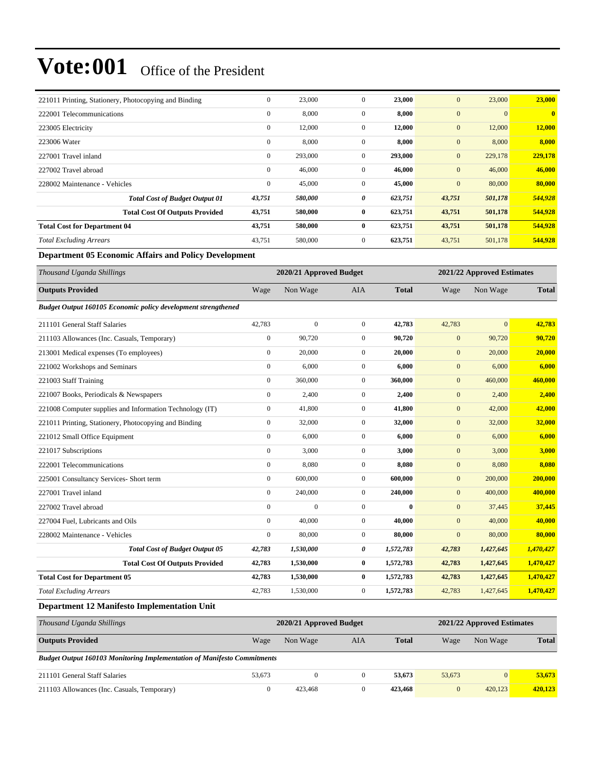| 221011 Printing, Stationery, Photocopying and Binding | $\mathbf{0}$     | 23,000  | $\mathbf{0}$   | 23,000  | $\mathbf{0}$ | 23,000   | 23,000       |
|-------------------------------------------------------|------------------|---------|----------------|---------|--------------|----------|--------------|
| 222001 Telecommunications                             | $\boldsymbol{0}$ | 8,000   | $\mathbf{0}$   | 8,000   | $\mathbf{0}$ | $\Omega$ | $\mathbf{0}$ |
| 223005 Electricity                                    | $\mathbf{0}$     | 12,000  | $\overline{0}$ | 12,000  | $\mathbf{0}$ | 12,000   | 12,000       |
| 223006 Water                                          | $\mathbf{0}$     | 8,000   | $\mathbf{0}$   | 8,000   | $\mathbf{0}$ | 8,000    | 8,000        |
| 227001 Travel inland                                  | $\mathbf{0}$     | 293,000 | $\mathbf{0}$   | 293,000 | $\mathbf{0}$ | 229,178  | 229,178      |
| 227002 Travel abroad                                  | $\mathbf{0}$     | 46,000  | $\mathbf{0}$   | 46,000  | $\mathbf{0}$ | 46,000   | 46,000       |
| 228002 Maintenance - Vehicles                         | $\mathbf{0}$     | 45,000  | $\mathbf{0}$   | 45,000  | $\mathbf{0}$ | 80,000   | 80,000       |
| <b>Total Cost of Budget Output 01</b>                 | 43,751           | 580,000 | 0              | 623,751 | 43,751       | 501,178  | 544,928      |
| <b>Total Cost Of Outputs Provided</b>                 | 43,751           | 580,000 | $\bf{0}$       | 623,751 | 43,751       | 501,178  | 544,928      |
| <b>Total Cost for Department 04</b>                   | 43,751           | 580,000 | $\bf{0}$       | 623,751 | 43,751       | 501,178  | 544,928      |
| <b>Total Excluding Arrears</b>                        | 43,751           | 580,000 | $\mathbf{0}$   | 623,751 | 43,751       | 501,178  | 544,928      |

#### **Department 05 Economic Affairs and Policy Development**

| Thousand Uganda Shillings                                     |                  | 2020/21 Approved Budget |                |              |                  | 2021/22 Approved Estimates |              |
|---------------------------------------------------------------|------------------|-------------------------|----------------|--------------|------------------|----------------------------|--------------|
| <b>Outputs Provided</b>                                       | Wage             | Non Wage                | <b>AIA</b>     | <b>Total</b> | Wage             | Non Wage                   | <b>Total</b> |
| Budget Output 160105 Economic policy development strengthened |                  |                         |                |              |                  |                            |              |
| 211101 General Staff Salaries                                 | 42,783           | $\boldsymbol{0}$        | $\mathbf{0}$   | 42,783       | 42,783           | $\mathbf{0}$               | 42,783       |
| 211103 Allowances (Inc. Casuals, Temporary)                   | $\boldsymbol{0}$ | 90,720                  | $\mathbf{0}$   | 90,720       | $\mathbf{0}$     | 90,720                     | 90,720       |
| 213001 Medical expenses (To employees)                        | $\mathbf{0}$     | 20,000                  | $\overline{0}$ | 20,000       | $\mathbf{0}$     | 20,000                     | 20,000       |
| 221002 Workshops and Seminars                                 | $\boldsymbol{0}$ | 6,000                   | $\mathbf{0}$   | 6,000        | $\mathbf{0}$     | 6,000                      | 6,000        |
| 221003 Staff Training                                         | $\mathbf{0}$     | 360,000                 | $\overline{0}$ | 360,000      | $\mathbf{0}$     | 460,000                    | 460,000      |
| 221007 Books, Periodicals & Newspapers                        | $\boldsymbol{0}$ | 2,400                   | $\mathbf{0}$   | 2,400        | $\mathbf{0}$     | 2,400                      | 2,400        |
| 221008 Computer supplies and Information Technology (IT)      | $\boldsymbol{0}$ | 41,800                  | $\overline{0}$ | 41,800       | $\mathbf{0}$     | 42,000                     | 42,000       |
| 221011 Printing, Stationery, Photocopying and Binding         | $\boldsymbol{0}$ | 32,000                  | $\mathbf{0}$   | 32,000       | $\mathbf{0}$     | 32,000                     | 32,000       |
| 221012 Small Office Equipment                                 | $\mathbf{0}$     | 6,000                   | $\overline{0}$ | 6,000        | $\mathbf{0}$     | 6,000                      | 6,000        |
| 221017 Subscriptions                                          | $\mathbf{0}$     | 3,000                   | $\overline{0}$ | 3,000        | $\mathbf{0}$     | 3,000                      | 3,000        |
| 222001 Telecommunications                                     | $\mathbf{0}$     | 8,080                   | $\overline{0}$ | 8,080        | $\boldsymbol{0}$ | 8,080                      | 8,080        |
| 225001 Consultancy Services- Short term                       | $\boldsymbol{0}$ | 600,000                 | $\overline{0}$ | 600,000      | $\mathbf{0}$     | 200,000                    | 200,000      |
| 227001 Travel inland                                          | $\mathbf{0}$     | 240,000                 | $\overline{0}$ | 240,000      | $\mathbf{0}$     | 400,000                    | 400,000      |
| 227002 Travel abroad                                          | $\mathbf{0}$     | $\mathbf{0}$            | $\overline{0}$ | $\mathbf{0}$ | $\mathbf{0}$     | 37,445                     | 37,445       |
| 227004 Fuel, Lubricants and Oils                              | $\mathbf{0}$     | 40,000                  | $\overline{0}$ | 40,000       | $\mathbf{0}$     | 40,000                     | 40,000       |
| 228002 Maintenance - Vehicles                                 | $\mathbf{0}$     | 80,000                  | $\mathbf{0}$   | 80,000       | $\boldsymbol{0}$ | 80,000                     | 80,000       |
| <b>Total Cost of Budget Output 05</b>                         | 42,783           | 1,530,000               | 0              | 1,572,783    | 42,783           | 1,427,645                  | 1,470,427    |
| <b>Total Cost Of Outputs Provided</b>                         | 42,783           | 1,530,000               | $\bf{0}$       | 1,572,783    | 42,783           | 1,427,645                  | 1,470,427    |
| <b>Total Cost for Department 05</b>                           | 42,783           | 1,530,000               | $\bf{0}$       | 1,572,783    | 42,783           | 1,427,645                  | 1,470,427    |
| <b>Total Excluding Arrears</b>                                | 42,783           | 1,530,000               | $\mathbf{0}$   | 1,572,783    | 42,783           | 1,427,645                  | 1,470,427    |
| <b>Department 12 Manifesto Implementation Unit</b>            |                  |                         |                |              |                  |                            |              |

| Thousand Uganda Shillings                                                      |        | 2020/21 Approved Budget |     |              | 2021/22 Approved Estimates |                |              |
|--------------------------------------------------------------------------------|--------|-------------------------|-----|--------------|----------------------------|----------------|--------------|
| <b>Outputs Provided</b>                                                        | Wage   | Non Wage                | AIA | <b>Total</b> | Wage                       | Non Wage       | <b>Total</b> |
| <b>Budget Output 160103 Monitoring Implementation of Manifesto Commitments</b> |        |                         |     |              |                            |                |              |
| 211101 General Staff Salaries                                                  | 53,673 | 0                       |     | 53.673       | 53,673                     | $\overline{0}$ | 53,673       |
| 211103 Allowances (Inc. Casuals, Temporary)                                    |        | 423.468                 |     | 423,468      | $\mathbf{0}$               | 420.123        | 420,123      |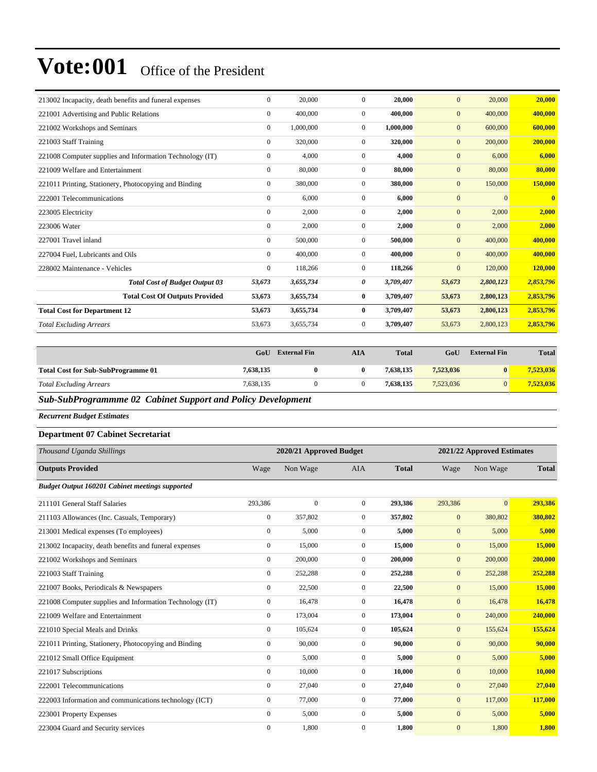| 213002 Incapacity, death benefits and funeral expenses   | $\mathbf{0}$     | 20,000    | $\Omega$       | 20,000    | $\mathbf{0}$ | 20,000       | 20,000       |
|----------------------------------------------------------|------------------|-----------|----------------|-----------|--------------|--------------|--------------|
| 221001 Advertising and Public Relations                  | $\mathbf{0}$     | 400,000   | $\overline{0}$ | 400.000   | $\mathbf{0}$ | 400,000      | 400,000      |
| 221002 Workshops and Seminars                            | $\mathbf{0}$     | 1,000,000 | $\overline{0}$ | 1,000,000 | $\mathbf{0}$ | 600,000      | 600,000      |
| 221003 Staff Training                                    | $\mathbf{0}$     | 320,000   | $\overline{0}$ | 320,000   | $\mathbf{0}$ | 200,000      | 200,000      |
| 221008 Computer supplies and Information Technology (IT) | $\boldsymbol{0}$ | 4,000     | $\overline{0}$ | 4,000     | $\mathbf{0}$ | 6,000        | 6,000        |
| 221009 Welfare and Entertainment                         | $\mathbf{0}$     | 80,000    | $\overline{0}$ | 80,000    | $\mathbf{0}$ | 80,000       | 80,000       |
| 221011 Printing, Stationery, Photocopying and Binding    | $\mathbf{0}$     | 380,000   | $\overline{0}$ | 380,000   | $\mathbf{0}$ | 150,000      | 150,000      |
| 222001 Telecommunications                                | $\mathbf{0}$     | 6,000     | $\Omega$       | 6,000     | $\mathbf{0}$ | $\mathbf{0}$ | $\mathbf{0}$ |
| 223005 Electricity                                       | $\boldsymbol{0}$ | 2,000     | $\mathbf{0}$   | 2,000     | $\mathbf{0}$ | 2,000        | 2,000        |
| 223006 Water                                             | $\mathbf{0}$     | 2,000     | $\overline{0}$ | 2,000     | $\mathbf{0}$ | 2,000        | 2,000        |
| 227001 Travel inland                                     | $\mathbf{0}$     | 500,000   | $\overline{0}$ | 500,000   | $\mathbf{0}$ | 400,000      | 400.000      |
| 227004 Fuel, Lubricants and Oils                         | $\mathbf{0}$     | 400,000   | $\overline{0}$ | 400,000   | $\mathbf{0}$ | 400,000      | 400,000      |
| 228002 Maintenance - Vehicles                            | $\mathbf{0}$     | 118,266   | $\overline{0}$ | 118,266   | $\mathbf{0}$ | 120,000      | 120,000      |
| <b>Total Cost of Budget Output 03</b>                    | 53,673           | 3,655,734 | 0              | 3,709,407 | 53,673       | 2,800,123    | 2,853,796    |
| <b>Total Cost Of Outputs Provided</b>                    | 53,673           | 3,655,734 | $\bf{0}$       | 3,709,407 | 53,673       | 2,800,123    | 2,853,796    |
| <b>Total Cost for Department 12</b>                      | 53,673           | 3,655,734 | $\bf{0}$       | 3,709,407 | 53,673       | 2,800,123    | 2,853,796    |
| <b>Total Excluding Arrears</b>                           | 53,673           | 3,655,734 | $\overline{0}$ | 3,709,407 | 53,673       | 2,800,123    | 2,853,796    |

|                                                                   | GoU            | <b>External Fin</b> | AIA | <b>Total</b> | GoU       | <b>External Fin</b> | <b>Total</b> |
|-------------------------------------------------------------------|----------------|---------------------|-----|--------------|-----------|---------------------|--------------|
| <b>Total Cost for Sub-SubProgramme 01</b>                         | 7,638,135      |                     |     | 7.638.135    | 7.523,036 | 0                   | 7,523,036    |
| <b>Total Excluding Arrears</b>                                    | 7.638.135      |                     |     | 7.638.135    | 7.523,036 | $\Omega$            | 7,523,036    |
| $C1 C1 D2$<br>$\mathbf{A}$ $\mathbf{A}$ $\mathbf{B}$ $\mathbf{C}$ | $\sqrt{1 + m}$ |                     |     |              |           |                     |              |

*Sub-SubProgrammme 02 Cabinet Support and Policy Development*

*Recurrent Budget Estimates*

#### **Department 07 Cabinet Secretariat**

| Thousand Uganda Shillings                                |                  | 2020/21 Approved Budget |                |              |              | 2021/22 Approved Estimates |              |
|----------------------------------------------------------|------------------|-------------------------|----------------|--------------|--------------|----------------------------|--------------|
| <b>Outputs Provided</b>                                  | Wage             | Non Wage                | <b>AIA</b>     | <b>Total</b> | Wage         | Non Wage                   | <b>Total</b> |
| <b>Budget Output 160201 Cabinet meetings supported</b>   |                  |                         |                |              |              |                            |              |
| 211101 General Staff Salaries                            | 293,386          | $\mathbf{0}$            | $\overline{0}$ | 293,386      | 293,386      | $\overline{0}$             | 293,386      |
| 211103 Allowances (Inc. Casuals, Temporary)              | $\mathbf{0}$     | 357,802                 | $\overline{0}$ | 357,802      | $\mathbf{0}$ | 380,802                    | 380,802      |
| 213001 Medical expenses (To employees)                   | $\mathbf{0}$     | 5,000                   | $\mathbf{0}$   | 5,000        | $\mathbf{0}$ | 5,000                      | 5,000        |
| 213002 Incapacity, death benefits and funeral expenses   | $\mathbf{0}$     | 15,000                  | $\overline{0}$ | 15,000       | $\mathbf{0}$ | 15,000                     | 15,000       |
| 221002 Workshops and Seminars                            | $\boldsymbol{0}$ | 200,000                 | $\overline{0}$ | 200,000      | $\mathbf{0}$ | 200,000                    | 200,000      |
| 221003 Staff Training                                    | $\mathbf{0}$     | 252,288                 | $\overline{0}$ | 252,288      | $\mathbf{0}$ | 252,288                    | 252,288      |
| 221007 Books, Periodicals & Newspapers                   | $\mathbf{0}$     | 22,500                  | $\overline{0}$ | 22,500       | $\mathbf{0}$ | 15,000                     | 15,000       |
| 221008 Computer supplies and Information Technology (IT) | $\mathbf{0}$     | 16,478                  | $\overline{0}$ | 16,478       | $\mathbf{0}$ | 16,478                     | 16,478       |
| 221009 Welfare and Entertainment                         | $\mathbf{0}$     | 173,004                 | $\mathbf{0}$   | 173,004      | $\mathbf{0}$ | 240,000                    | 240,000      |
| 221010 Special Meals and Drinks                          | $\mathbf{0}$     | 105,624                 | $\mathbf{0}$   | 105,624      | $\mathbf{0}$ | 155,624                    | 155,624      |
| 221011 Printing, Stationery, Photocopying and Binding    | $\boldsymbol{0}$ | 90,000                  | $\mathbf{0}$   | 90,000       | $\mathbf{0}$ | 90,000                     | 90,000       |
| 221012 Small Office Equipment                            | $\boldsymbol{0}$ | 5,000                   | $\overline{0}$ | 5,000        | $\mathbf{0}$ | 5,000                      | 5,000        |
| 221017 Subscriptions                                     | $\Omega$         | 10,000                  | $\Omega$       | 10,000       | $\mathbf{0}$ | 10,000                     | 10,000       |
| 222001 Telecommunications                                | $\mathbf{0}$     | 27,040                  | $\overline{0}$ | 27,040       | $\mathbf{0}$ | 27,040                     | 27,040       |
| 222003 Information and communications technology (ICT)   | $\mathbf{0}$     | 77,000                  | $\mathbf{0}$   | 77,000       | $\mathbf{0}$ | 117,000                    | 117,000      |
| 223001 Property Expenses                                 | $\mathbf{0}$     | 5,000                   | $\mathbf{0}$   | 5,000        | $\mathbf{0}$ | 5,000                      | 5,000        |
| 223004 Guard and Security services                       | $\mathbf{0}$     | 1,800                   | $\mathbf{0}$   | 1,800        | $\mathbf{0}$ | 1,800                      | 1,800        |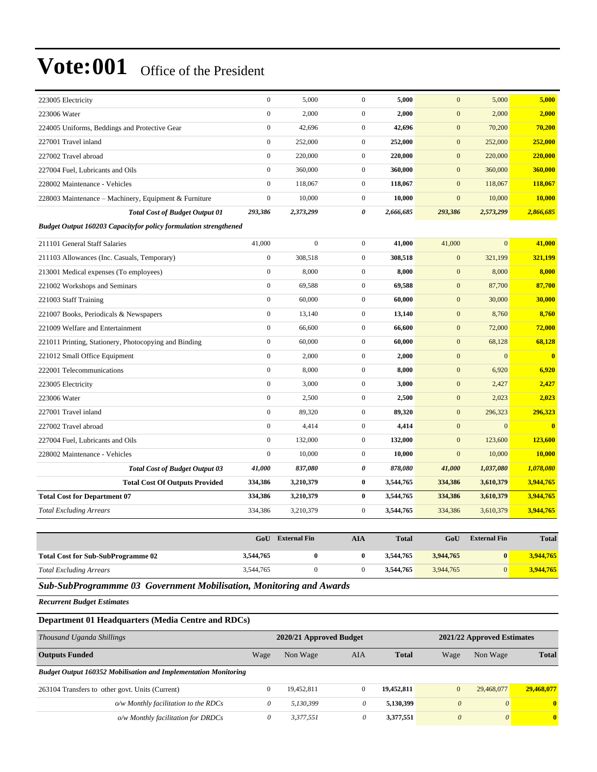| 223005 Electricity                                               | $\mathbf{0}$     | 5.000          | $\mathbf{0}$     | 5.000     | $\mathbf{0}$     | 5,000          | 5,000                   |  |  |  |
|------------------------------------------------------------------|------------------|----------------|------------------|-----------|------------------|----------------|-------------------------|--|--|--|
| 223006 Water                                                     | $\mathbf{0}$     | 2,000          | $\boldsymbol{0}$ | 2,000     | $\mathbf{0}$     | 2,000          | 2,000                   |  |  |  |
| 224005 Uniforms, Beddings and Protective Gear                    | $\boldsymbol{0}$ | 42,696         | $\overline{0}$   | 42,696    | $\mathbf{0}$     | 70,200         | 70,200                  |  |  |  |
| 227001 Travel inland                                             | $\mathbf{0}$     | 252,000        | $\mathbf{0}$     | 252,000   | $\boldsymbol{0}$ | 252,000        | 252,000                 |  |  |  |
| 227002 Travel abroad                                             | $\mathbf{0}$     | 220,000        | $\mathbf{0}$     | 220,000   | $\mathbf{0}$     | 220,000        | 220,000                 |  |  |  |
| 227004 Fuel, Lubricants and Oils                                 | $\mathbf{0}$     | 360,000        | $\overline{0}$   | 360,000   | $\mathbf{0}$     | 360,000        | 360,000                 |  |  |  |
| 228002 Maintenance - Vehicles                                    | $\mathbf{0}$     | 118,067        | $\mathbf{0}$     | 118,067   | $\mathbf{0}$     | 118,067        | 118,067                 |  |  |  |
| 228003 Maintenance – Machinery, Equipment & Furniture            | $\boldsymbol{0}$ | 10,000         | $\boldsymbol{0}$ | 10,000    | $\mathbf{0}$     | 10,000         | 10,000                  |  |  |  |
| <b>Total Cost of Budget Output 01</b>                            | 293,386          | 2,373,299      | 0                | 2,666,685 | 293,386          | 2,573,299      | 2,866,685               |  |  |  |
| Budget Output 160203 Capacityfor policy formulation strengthened |                  |                |                  |           |                  |                |                         |  |  |  |
| 211101 General Staff Salaries                                    | 41,000           | $\overline{0}$ | $\mathbf{0}$     | 41,000    | 41,000           | $\overline{0}$ | 41,000                  |  |  |  |
| 211103 Allowances (Inc. Casuals, Temporary)                      | $\mathbf{0}$     | 308,518        | $\overline{0}$   | 308,518   | $\mathbf{0}$     | 321,199        | 321,199                 |  |  |  |
| 213001 Medical expenses (To employees)                           | $\boldsymbol{0}$ | 8,000          | $\mathbf{0}$     | 8,000     | $\mathbf{0}$     | 8,000          | 8,000                   |  |  |  |
| 221002 Workshops and Seminars                                    | $\mathbf{0}$     | 69,588         | $\overline{0}$   | 69,588    | $\mathbf{0}$     | 87,700         | 87,700                  |  |  |  |
| 221003 Staff Training                                            | $\mathbf{0}$     | 60,000         | $\mathbf{0}$     | 60,000    | $\mathbf{0}$     | 30,000         | 30,000                  |  |  |  |
| 221007 Books, Periodicals & Newspapers                           | $\boldsymbol{0}$ | 13,140         | $\mathbf{0}$     | 13,140    | $\mathbf{0}$     | 8,760          | 8,760                   |  |  |  |
| 221009 Welfare and Entertainment                                 | $\mathbf{0}$     | 66,600         | $\mathbf{0}$     | 66,600    | $\mathbf{0}$     | 72,000         | 72,000                  |  |  |  |
| 221011 Printing, Stationery, Photocopying and Binding            | $\mathbf{0}$     | 60,000         | $\mathbf{0}$     | 60,000    | $\mathbf{0}$     | 68,128         | 68,128                  |  |  |  |
| 221012 Small Office Equipment                                    | $\overline{0}$   | 2,000          | $\overline{0}$   | 2,000     | $\mathbf{0}$     | $\overline{0}$ | $\overline{\mathbf{0}}$ |  |  |  |
| 222001 Telecommunications                                        | $\mathbf{0}$     | 8,000          | $\mathbf{0}$     | 8,000     | $\boldsymbol{0}$ | 6,920          | 6,920                   |  |  |  |
| 223005 Electricity                                               | $\boldsymbol{0}$ | 3,000          | $\mathbf{0}$     | 3,000     | $\mathbf{0}$     | 2,427          | 2,427                   |  |  |  |
| 223006 Water                                                     | $\mathbf{0}$     | 2,500          | $\boldsymbol{0}$ | 2,500     | $\boldsymbol{0}$ | 2,023          | 2,023                   |  |  |  |
| 227001 Travel inland                                             | $\mathbf{0}$     | 89,320         | $\mathbf{0}$     | 89,320    | $\mathbf{0}$     | 296,323        | 296,323                 |  |  |  |
| 227002 Travel abroad                                             | $\mathbf{0}$     | 4,414          | $\overline{0}$   | 4,414     | $\mathbf{0}$     | $\mathbf{0}$   | $\overline{\mathbf{0}}$ |  |  |  |
| 227004 Fuel, Lubricants and Oils                                 | $\mathbf{0}$     | 132,000        | $\mathbf{0}$     | 132,000   | $\mathbf{0}$     | 123,600        | 123,600                 |  |  |  |
| 228002 Maintenance - Vehicles                                    | $\boldsymbol{0}$ | 10,000         | $\mathbf{0}$     | 10,000    | $\mathbf{0}$     | 10,000         | 10,000                  |  |  |  |
| <b>Total Cost of Budget Output 03</b>                            | 41,000           | 837,080        | 0                | 878,080   | 41,000           | 1,037,080      | 1,078,080               |  |  |  |
| <b>Total Cost Of Outputs Provided</b>                            | 334,386          | 3,210,379      | $\bf{0}$         | 3,544,765 | 334,386          | 3,610,379      | 3,944,765               |  |  |  |
| <b>Total Cost for Department 07</b>                              | 334,386          | 3,210,379      | $\bf{0}$         | 3,544,765 | 334,386          | 3,610,379      | 3,944,765               |  |  |  |
| <b>Total Excluding Arrears</b>                                   | 334,386          | 3,210,379      | $\mathbf{0}$     | 3,544,765 | 334,386          | 3,610,379      | 3,944,765               |  |  |  |

|                                           | GoU       | <b>External Fin</b> | AIA | <b>Total</b> | GoU       | <b>External Fin</b> | <b>Total</b> |
|-------------------------------------------|-----------|---------------------|-----|--------------|-----------|---------------------|--------------|
| <b>Total Cost for Sub-SubProgramme 02</b> | 3,544,765 |                     |     | 3.544.765    | 3.944,765 |                     | 3,944,765    |
| <b>Total Excluding Arrears</b>            | 3,544,765 |                     |     | 3.544.765    | 3.944.765 | $\Omega$            | 3,944,765    |

*Sub-SubProgrammme 03 Government Mobilisation, Monitoring and Awards*

*Recurrent Budget Estimates*

#### **Department 01 Headquarters (Media Centre and RDCs)**

| Thousand Uganda Shillings                                              |      | 2020/21 Approved Budget |          |            | 2021/22 Approved Estimates |                       |              |
|------------------------------------------------------------------------|------|-------------------------|----------|------------|----------------------------|-----------------------|--------------|
| <b>Outputs Funded</b>                                                  | Wage | Non Wage                | AIA      | Total      | Wage                       | Non Wage              | <b>Total</b> |
| <b>Budget Output 160352 Mobilisation and Implementation Monitoring</b> |      |                         |          |            |                            |                       |              |
| 263104 Transfers to other govt. Units (Current)                        |      | 19,452,811              | $\theta$ | 19,452,811 | $\mathbf{0}$               | 29,468,077            | 29,468,077   |
| $o/w$ Monthly facilitation to the RDCs                                 |      | 5.130.399               | $\theta$ | 5,130,399  | $\theta$                   | $\theta$              | $\mathbf{0}$ |
| o/w Monthly facilitation for DRDCs                                     |      | 3,377,551               | $\theta$ | 3,377,551  | $\theta$                   | $\boldsymbol{\theta}$ | $\mathbf{0}$ |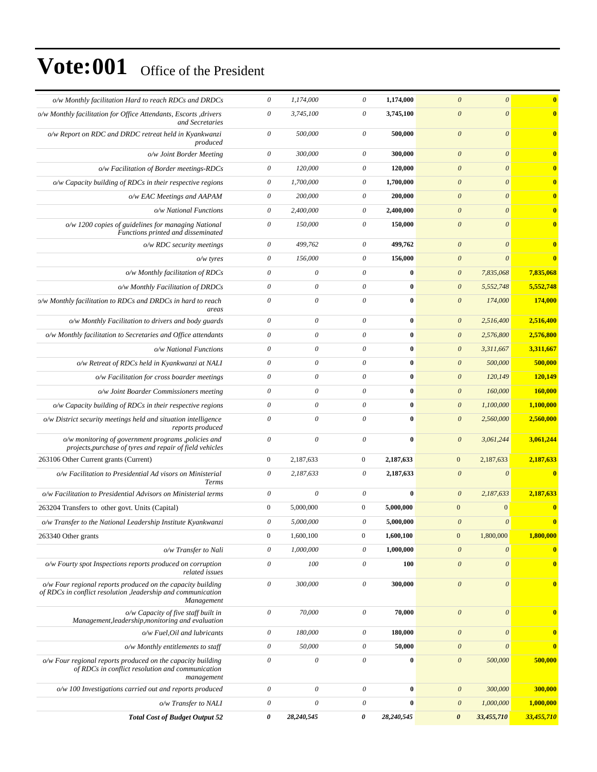| o/w Monthly facilitation Hard to reach RDCs and DRDCs                                                                                     | $\boldsymbol{\theta}$ | 1,174,000                 | $\boldsymbol{\theta}$     | 1,174,000  | $\theta$<br>$\boldsymbol{\theta}$                      | $\mathbf{0}$ |
|-------------------------------------------------------------------------------------------------------------------------------------------|-----------------------|---------------------------|---------------------------|------------|--------------------------------------------------------|--------------|
| o/w Monthly facilitation for Office Attendants, Escorts , drivers<br>and Secretaries                                                      | $\boldsymbol{\theta}$ | 3,745,100                 | $\boldsymbol{\theta}$     | 3,745,100  | $\boldsymbol{\theta}$<br>$\boldsymbol{\theta}$         | $\bf{0}$     |
| o/w Report on RDC and DRDC retreat held in Kyankwanzi<br>produced                                                                         | $\theta$              | 500,000                   | $\boldsymbol{\mathit{0}}$ | 500,000    | $\boldsymbol{\theta}$<br>$\boldsymbol{\theta}$         | $\mathbf{0}$ |
| o/w Joint Border Meeting                                                                                                                  | $\theta$              | 300,000                   | 0                         | 300,000    | $\boldsymbol{\theta}$<br>$\boldsymbol{\theta}$         | $\mathbf{0}$ |
| o/w Facilitation of Border meetings-RDCs                                                                                                  | $\boldsymbol{\theta}$ | 120,000                   | 0                         | 120,000    | $\theta$<br>$\theta$                                   |              |
| $o/w$ Capacity building of RDCs in their respective regions                                                                               | $\theta$              | 1,700,000                 | $\boldsymbol{\theta}$     | 1,700,000  | $\boldsymbol{\theta}$<br>$\boldsymbol{\theta}$         | $\mathbf{0}$ |
| o/w EAC Meetings and AAPAM                                                                                                                | $\boldsymbol{\theta}$ | 200,000                   | $\theta$                  | 200,000    | $\boldsymbol{\theta}$<br>$\boldsymbol{\theta}$         | $\bf{0}$     |
| o/w National Functions                                                                                                                    | $\theta$              | 2,400,000                 | $\boldsymbol{\mathit{0}}$ | 2,400,000  | $\boldsymbol{\theta}$<br>$\theta$                      |              |
| $o/w$ 1200 copies of guidelines for managing National<br>Functions printed and disseminated                                               | $\theta$              | 150,000                   | $\boldsymbol{\theta}$     | 150,000    | $\boldsymbol{\theta}$<br>$\theta$                      | $\bf{0}$     |
| $o/w$ RDC security meetings                                                                                                               | $\boldsymbol{\theta}$ | 499,762                   | $\boldsymbol{\theta}$     | 499,762    | $\boldsymbol{\theta}$<br>$\boldsymbol{\theta}$         | $\mathbf{0}$ |
| $o/w$ tyres                                                                                                                               | $\theta$              | 156,000                   | $\boldsymbol{\mathit{0}}$ | 156,000    | $\boldsymbol{\theta}$<br>$\theta$                      | $\bf{0}$     |
| o/w Monthly facilitation of RDCs                                                                                                          | $\boldsymbol{\theta}$ | $\theta$                  | $\boldsymbol{\theta}$     | $\bf{0}$   | $\boldsymbol{\theta}$<br>7,835,068                     | 7,835,068    |
| o/w Monthly Facilitation of DRDCs                                                                                                         | $\theta$              | $\boldsymbol{\theta}$     | $\boldsymbol{\mathit{0}}$ | $\bf{0}$   | $\theta$<br>5,552,748                                  | 5,552,748    |
| o/w Monthly facilitation to RDCs and DRDCs in hard to reach<br>areas                                                                      | $\boldsymbol{\theta}$ | $\boldsymbol{\mathit{0}}$ | $\boldsymbol{\mathit{0}}$ | $\bf{0}$   | $\boldsymbol{\theta}$<br>174,000                       | 174,000      |
| o/w Monthly Facilitation to drivers and body guards                                                                                       | $\boldsymbol{\theta}$ | 0                         | 0                         | $\bf{0}$   | $\boldsymbol{\theta}$<br>2,516,400                     | 2,516,400    |
| o/w Monthly facilitation to Secretaries and Office attendants                                                                             | $\boldsymbol{\theta}$ | $\theta$                  | $\boldsymbol{\theta}$     | 0          | $\boldsymbol{\mathit{0}}$<br>2,576,800                 | 2,576,800    |
| o/w National Functions                                                                                                                    | $\theta$              | $\boldsymbol{\theta}$     | $\boldsymbol{\mathit{0}}$ | $\bf{0}$   | $\boldsymbol{\theta}$<br>3,311,667                     | 3,311,667    |
| o/w Retreat of RDCs held in Kyankwanzi at NALI                                                                                            | $\boldsymbol{\theta}$ | 0                         | $\boldsymbol{\mathit{0}}$ | 0          | $\theta$<br>500,000                                    | 500,000      |
| o/w Facilitation for cross boarder meetings                                                                                               | $\theta$              | $\boldsymbol{\theta}$     | $\boldsymbol{\mathit{0}}$ | $\bf{0}$   | $\theta$<br>120,149                                    | 120,149      |
| o/w Joint Boarder Commissioners meeting                                                                                                   | $\boldsymbol{\theta}$ | $\theta$                  | 0                         | $\bf{0}$   | $\theta$<br>160,000                                    | 160,000      |
| $o/w$ Capacity building of RDCs in their respective regions                                                                               | $\boldsymbol{\theta}$ | $\theta$                  | $\boldsymbol{\mathit{0}}$ | 0          | $\boldsymbol{\theta}$<br>1,100,000                     | 1,100,000    |
| o/w District security meetings held and situation intelligence<br>reports produced                                                        | $\theta$              | $\theta$                  | $\boldsymbol{\theta}$     | $\bf{0}$   | $\boldsymbol{\theta}$<br>2,560,000                     | 2,560,000    |
| o/w monitoring of government programs, policies and<br>projects, purchase of tyres and repair of field vehicles                           | $\theta$              | $\boldsymbol{\theta}$     | $\boldsymbol{\mathit{0}}$ | $\bf{0}$   | $\boldsymbol{\theta}$<br>3,061,244                     | 3,061,244    |
| 263106 Other Current grants (Current)                                                                                                     | $\boldsymbol{0}$      | 2,187,633                 | $\mathbf{0}$              | 2,187,633  | $\mathbf{0}$<br>2,187,633                              | 2,187,633    |
| o/w Facilitation to Presidential Ad visors on Ministerial<br>Terms                                                                        | $\theta$              | 2,187,633                 | $\theta$                  | 2,187,633  | $\boldsymbol{\theta}$<br>$\theta$                      | $\bf{0}$     |
| o/w Facilitation to Presidential Advisors on Ministerial terms                                                                            | $\theta$              | $\theta$                  | $\theta$                  | $\bf{0}$   | $\boldsymbol{\mathit{0}}$<br>2,187,633                 | 2,187,633    |
| 263204 Transfers to other govt. Units (Capital)                                                                                           | $\boldsymbol{0}$      | 5,000,000                 | $\mathbf{0}$              | 5,000,000  | $\mathbf{0}$<br>$\mathbf{0}$                           | $\bf{0}$     |
| o/w Transfer to the National Leadership Institute Kyankwanzi                                                                              | $\boldsymbol{\theta}$ | 5,000,000                 | $\theta$                  | 5,000,000  | $\boldsymbol{\theta}$<br>$\theta$                      | $\mathbf{0}$ |
| 263340 Other grants                                                                                                                       | $\boldsymbol{0}$      | 1,600,100                 | $\boldsymbol{0}$          | 1,600,100  | 1,800,000<br>$\mathbf{0}$                              | 1,800,000    |
| o/w Transfer to Nali                                                                                                                      | $\boldsymbol{\theta}$ | 1,000,000                 | $\theta$                  | 1,000,000  | $\boldsymbol{\mathit{0}}$<br>$\theta$                  | $\bf{0}$     |
| o/w Fourty spot Inspections reports produced on corruption<br>related issues                                                              | $\boldsymbol{\theta}$ | 100                       | $\theta$                  | 100        | $\boldsymbol{\mathit{0}}$<br>$\boldsymbol{\mathit{0}}$ | $\bf{0}$     |
| o/w Four regional reports produced on the capacity building<br>of RDCs in conflict resolution, leadership and communication<br>Management | $\boldsymbol{\theta}$ | 300,000                   | $\theta$                  | 300,000    | $\boldsymbol{\theta}$<br>$\boldsymbol{\theta}$         | $\bf{0}$     |
| o/w Capacity of five staff built in<br>Management, leadership, monitoring and evaluation                                                  | $\boldsymbol{\theta}$ | 70,000                    | $\boldsymbol{\mathit{0}}$ | 70,000     | $\boldsymbol{\mathit{0}}$<br>$\boldsymbol{\mathit{0}}$ | $\mathbf{0}$ |
| $o/w$ Fuel, Oil and lubricants                                                                                                            | $\theta$              | 180,000                   | $\boldsymbol{\theta}$     | 180,000    | $\boldsymbol{\mathit{0}}$<br>$\boldsymbol{\theta}$     | $\mathbf{0}$ |
| o/w Monthly entitlements to staff                                                                                                         | $\theta$              | 50,000                    | $\boldsymbol{\theta}$     | 50,000     | $\boldsymbol{\mathit{0}}$<br>$\boldsymbol{\theta}$     | $\mathbf{0}$ |
| o/w Four regional reports produced on the capacity building<br>of RDCs in conflict resolution and communication<br>management             | $\theta$              | $\boldsymbol{\mathit{0}}$ | $\boldsymbol{\mathit{0}}$ | $\bf{0}$   | $\boldsymbol{\mathit{0}}$<br>500,000                   | 500,000      |
| o/w 100 Investigations carried out and reports produced                                                                                   | $\theta$              | $\boldsymbol{\theta}$     | $\theta$                  | $\bf{0}$   | $\boldsymbol{\theta}$<br>300,000                       | 300,000      |
| o/w Transfer to NALI                                                                                                                      | $\theta$              | $\boldsymbol{\theta}$     | $\theta$                  | $\bf{0}$   | 1,000,000<br>$\boldsymbol{\theta}$                     | 1,000,000    |
| <b>Total Cost of Budget Output 52</b>                                                                                                     | $\pmb{\theta}$        | 28,240,545                | 0                         | 28,240,545 | $\boldsymbol{\theta}$<br>33,455,710                    | 33,455,710   |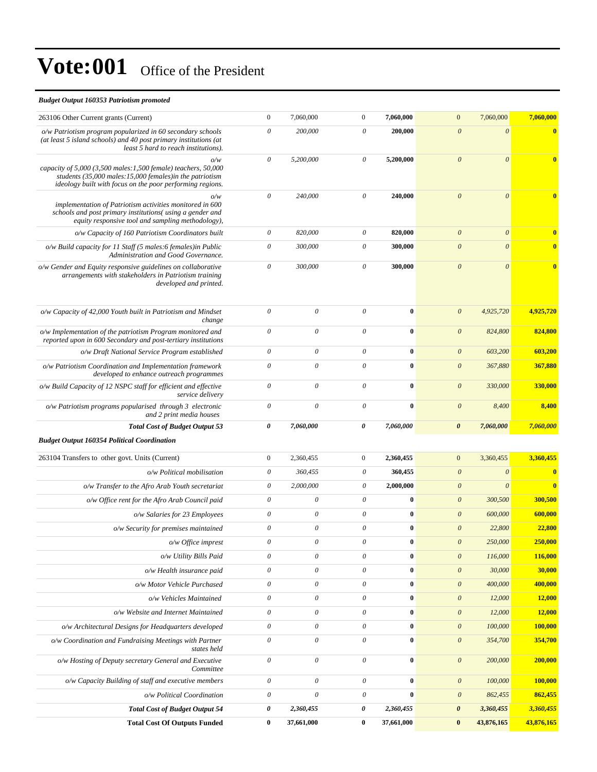#### *Budget Output 160353 Patriotism promoted*

| 263106 Other Current grants (Current)                                                                                                                                                                                | $\boldsymbol{0}$          | 7,060,000                 | $\mathbf{0}$              | 7,060,000  | 7,060,000<br>$\mathbf{0}$          | 7,060,000                             |
|----------------------------------------------------------------------------------------------------------------------------------------------------------------------------------------------------------------------|---------------------------|---------------------------|---------------------------|------------|------------------------------------|---------------------------------------|
| o/w Patriotism program popularized in 60 secondary schools<br>(at least 5 island schools) and 40 post primary institutions (at<br>least 5 hard to reach institutions).                                               | $\boldsymbol{\theta}$     | 200,000                   | $\boldsymbol{\theta}$     | 200,000    | $\boldsymbol{\theta}$              | $\boldsymbol{\theta}$<br>$\bf{0}$     |
| o/w<br>capacity of $5,000$ (3,500 males: 1,500 female) teachers, 50,000<br>students $(35,000 \text{ males} : 15,000 \text{ females})$ in the patriotism<br>ideology built with focus on the poor performing regions. | $\theta$                  | 5,200,000                 | $\boldsymbol{\mathit{0}}$ | 5,200,000  | $\boldsymbol{\theta}$              | $\boldsymbol{\theta}$<br>$\mathbf{0}$ |
| o/w<br>implementation of Patriotism activities monitored in 600<br>schools and post primary institutions (using a gender and<br>equity responsive tool and sampling methodology),                                    | $\boldsymbol{\theta}$     | 240,000                   | $\theta$                  | 240,000    | $\boldsymbol{\theta}$              | $\theta$                              |
| o/w Capacity of 160 Patriotism Coordinators built                                                                                                                                                                    | $\boldsymbol{\theta}$     | 820,000                   | $\boldsymbol{\mathit{0}}$ | 820,000    | $\theta$                           | $\boldsymbol{\theta}$                 |
| o/w Build capacity for 11 Staff (5 males:6 females) in Public<br>Administration and Good Governance.                                                                                                                 | $\boldsymbol{\theta}$     | 300,000                   | $\boldsymbol{\theta}$     | 300,000    | $\boldsymbol{\theta}$              | $\boldsymbol{\theta}$<br>$\mathbf{0}$ |
| o/w Gender and Equity responsive guidelines on collaborative<br>arrangements with stakeholders in Patriotism training<br>developed and printed.                                                                      | $\theta$                  | 300,000                   | $\boldsymbol{\theta}$     | 300,000    | $\theta$                           | $\boldsymbol{\theta}$<br>$\mathbf{0}$ |
| o/w Capacity of 42,000 Youth built in Patriotism and Mindset<br>change                                                                                                                                               | $\theta$                  | $\boldsymbol{\mathit{0}}$ | $\boldsymbol{\mathit{0}}$ | $\bf{0}$   | $\boldsymbol{0}$<br>4,925,720      | 4,925,720                             |
| o/w Implementation of the patriotism Program monitored and<br>reported upon in 600 Secondary and post-tertiary institutions                                                                                          | $\theta$                  | 0                         | $\boldsymbol{\theta}$     | $\bf{0}$   | $\boldsymbol{0}$<br>824,800        | 824,800                               |
| o/w Draft National Service Program established                                                                                                                                                                       | $\theta$                  | 0                         | $\boldsymbol{\theta}$     | $\bf{0}$   | $\boldsymbol{0}$<br>603,200        | 603,200                               |
| o/w Patriotism Coordination and Implementation framework<br>developed to enhance outreach programmes                                                                                                                 | $\boldsymbol{\mathit{0}}$ | 0                         | $\boldsymbol{\theta}$     | $\bf{0}$   | $\boldsymbol{\theta}$<br>367,880   | 367,880                               |
| o/w Build Capacity of 12 NSPC staff for efficient and effective<br>service delivery                                                                                                                                  | $\boldsymbol{\theta}$     | 0                         | $\boldsymbol{\theta}$     | $\bf{0}$   | $\theta$<br>330,000                | 330,000                               |
| o/w Patriotism programs popularised through 3 electronic<br>and 2 print media houses                                                                                                                                 | $\theta$                  | 0                         | $\boldsymbol{\mathit{0}}$ | $\bf{0}$   | $\boldsymbol{0}$<br>8,400          | 8,400                                 |
| <b>Total Cost of Budget Output 53</b>                                                                                                                                                                                | $\boldsymbol{\theta}$     | 7,060,000                 | 0                         | 7,060,000  | $\boldsymbol{\theta}$<br>7,060,000 | 7,060,000                             |
| <b>Budget Output 160354 Political Coordination</b>                                                                                                                                                                   |                           |                           |                           |            |                                    |                                       |
| 263104 Transfers to other govt. Units (Current)                                                                                                                                                                      | $\boldsymbol{0}$          | 2,360,455                 | $\overline{0}$            | 2,360,455  | 3,360,455<br>$\mathbf{0}$          | 3,360,455                             |
| o/w Political mobilisation                                                                                                                                                                                           | $\theta$                  | 360,455                   | $\boldsymbol{\theta}$     | 360,455    | $\boldsymbol{0}$                   | $\boldsymbol{\theta}$<br>$\bf{0}$     |
| o/w Transfer to the Afro Arab Youth secretariat                                                                                                                                                                      | $\theta$                  | 2,000,000                 | $\boldsymbol{\theta}$     | 2,000,000  | $\boldsymbol{\theta}$              | $\bf{0}$<br>$\boldsymbol{\theta}$     |
| o/w Office rent for the Afro Arab Council paid                                                                                                                                                                       | $\theta$                  | $\boldsymbol{\mathit{0}}$ | $\boldsymbol{\theta}$     | $\bf{0}$   | $\boldsymbol{0}$<br>300,500        | 300,500                               |
| o/w Salaries for 23 Employees                                                                                                                                                                                        | $\theta$                  | $\boldsymbol{\mathit{0}}$ | $\boldsymbol{\mathit{0}}$ | $\bf{0}$   | $\theta$<br>600,000                | 600,000                               |
| o/w Security for premises maintained                                                                                                                                                                                 | $\theta$                  | 0                         | $\boldsymbol{\theta}$     | $\bf{0}$   | $\boldsymbol{\theta}$<br>22,800    | 22,800                                |
| $o/w$ Office imprest                                                                                                                                                                                                 | $\theta$                  | 0                         | $\theta$                  | $\bf{0}$   | 250,000<br>$\theta$                | 250,000                               |
| o/w Utility Bills Paid                                                                                                                                                                                               | $\boldsymbol{\theta}$     | 0                         | $\theta$                  | $\bf{0}$   | 116,000<br>$\boldsymbol{\theta}$   | 116,000                               |
| o/w Health insurance paid                                                                                                                                                                                            | $\boldsymbol{\mathit{0}}$ | $\boldsymbol{\theta}$     | $\boldsymbol{\mathit{0}}$ | $\bf{0}$   | 30,000<br>$\boldsymbol{\theta}$    | 30,000                                |
| o/w Motor Vehicle Purchased                                                                                                                                                                                          | $\boldsymbol{\theta}$     | $\boldsymbol{\mathit{0}}$ | $\boldsymbol{\mathit{0}}$ | $\bf{0}$   | $\boldsymbol{\theta}$<br>400,000   | 400,000                               |
| o/w Vehicles Maintained                                                                                                                                                                                              | $\boldsymbol{\theta}$     | 0                         | $\boldsymbol{\mathit{0}}$ | $\bf{0}$   | $\boldsymbol{\theta}$<br>12,000    | 12,000                                |
| o/w Website and Internet Maintained                                                                                                                                                                                  | $\boldsymbol{\theta}$     | 0                         | 0                         | $\bf{0}$   | $\boldsymbol{\theta}$<br>12,000    | 12,000                                |
| o/w Architectural Designs for Headquarters developed                                                                                                                                                                 | $\boldsymbol{\mathit{0}}$ | 0                         | $\theta$                  | $\bf{0}$   | $\boldsymbol{\theta}$<br>100,000   | 100,000                               |
| o/w Coordination and Fundraising Meetings with Partner<br>states held                                                                                                                                                | $\boldsymbol{\mathit{0}}$ | $\boldsymbol{\theta}$     | $\theta$                  | $\bf{0}$   | $\boldsymbol{\theta}$<br>354,700   | 354,700                               |
| o/w Hosting of Deputy secretary General and Executive<br>Committee                                                                                                                                                   | $\boldsymbol{\mathit{0}}$ | $\boldsymbol{\theta}$     | $\boldsymbol{\mathit{0}}$ | $\bf{0}$   | $\boldsymbol{\theta}$<br>200,000   | 200,000                               |
| o/w Capacity Building of staff and executive members                                                                                                                                                                 | $\theta$                  | $\mathcal O$              | $\theta$                  | $\bf{0}$   | 100,000<br>$\boldsymbol{\theta}$   | 100,000                               |
| o/w Political Coordination                                                                                                                                                                                           | $\boldsymbol{\theta}$     | $\boldsymbol{\mathit{0}}$ | $\boldsymbol{\mathit{0}}$ | $\bf{0}$   | 862,455<br>$\boldsymbol{\theta}$   | 862,455                               |
| <b>Total Cost of Budget Output 54</b>                                                                                                                                                                                | $\pmb{\theta}$            | 2,360,455                 | 0                         | 2,360,455  | 3,360,455<br>$\boldsymbol{\theta}$ | 3,360,455                             |
| <b>Total Cost Of Outputs Funded</b>                                                                                                                                                                                  | $\bf{0}$                  | 37,661,000                | $\bf{0}$                  | 37,661,000 | $\bf{0}$<br>43,876,165             | 43,876,165                            |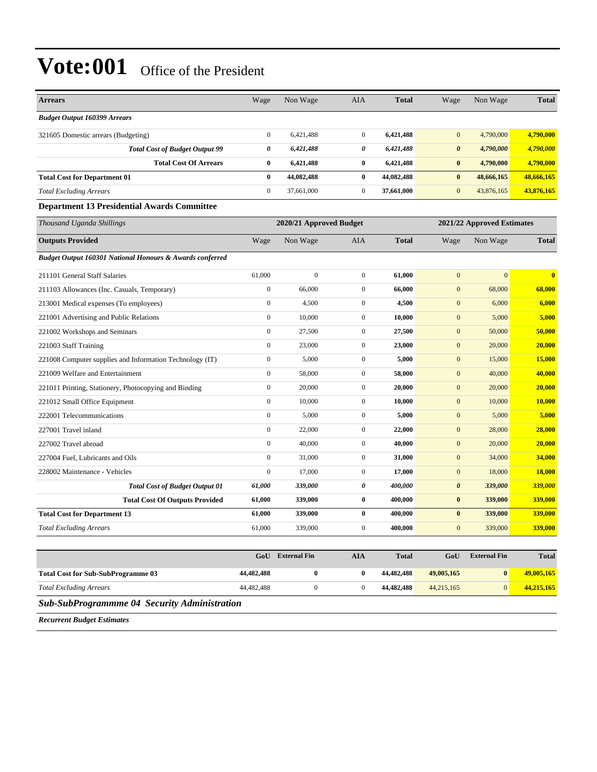| <b>Budget Output 160399 Arrears</b>                                                                                                          |               |
|----------------------------------------------------------------------------------------------------------------------------------------------|---------------|
| $\mathbf{0}$<br>6,421,488<br>$\mathbf{0}$<br>6,421,488<br>$\mathbf{0}$<br>4,790,000<br>321605 Domestic arrears (Budgeting)                   | 4,790,000     |
| 0<br>6,421,488<br>0<br>6,421,488<br>4,790,000<br><b>Total Cost of Budget Output 99</b><br>$\boldsymbol{\theta}$                              | 4,790,000     |
| <b>Total Cost Of Arrears</b><br>6,421,488<br>$\bf{0}$<br>6,421,488<br>$\bf{0}$<br>4,790,000<br>$\bf{0}$                                      | 4,790,000     |
| 44,082,488<br>44,082,488<br>$\bf{0}$<br>$\bf{0}$<br>$\bf{0}$<br>48,666,165<br><b>Total Cost for Department 01</b>                            | 48,666,165    |
| $\boldsymbol{0}$<br><b>Total Excluding Arrears</b><br>37,661,000<br>$\mathbf{0}$<br>37,661,000<br>$\mathbf{0}$<br>43,876,165                 | 43,876,165    |
| <b>Department 13 Presidential Awards Committee</b>                                                                                           |               |
| Thousand Uganda Shillings<br>2020/21 Approved Budget<br>2021/22 Approved Estimates                                                           |               |
| <b>Outputs Provided</b><br>Non Wage<br>Non Wage<br>Wage<br><b>AIA</b><br><b>Total</b><br>Wage                                                | <b>Total</b>  |
| Budget Output 160301 National Honours & Awards conferred                                                                                     |               |
| 61,000<br>$\boldsymbol{0}$<br>$\mathbf{0}$<br>$\mathbf{0}$<br>211101 General Staff Salaries<br>61,000<br>$\mathbf{0}$                        | $\bf{0}$      |
| $\boldsymbol{0}$<br>66,000<br>$\boldsymbol{0}$<br>66,000<br>$\mathbf{0}$<br>68,000<br>211103 Allowances (Inc. Casuals, Temporary)            | 68,000        |
| $\mathbf{0}$<br>4,500<br>$\boldsymbol{0}$<br>4,500<br>$\mathbf{0}$<br>6,000<br>213001 Medical expenses (To employees)                        | 6,000         |
| $\boldsymbol{0}$<br>10,000<br>$\boldsymbol{0}$<br>$\boldsymbol{0}$<br>10,000<br>5,000<br>221001 Advertising and Public Relations             | 5,000         |
| $\boldsymbol{0}$<br>27,500<br>$\mathbf{0}$<br>27,500<br>$\mathbf{0}$<br>50,000<br>221002 Workshops and Seminars                              | 50,000        |
| $\mathbf{0}$<br>221003 Staff Training<br>23,000<br>$\boldsymbol{0}$<br>23,000<br>$\mathbf{0}$<br>20,000                                      | 20,000        |
| $\boldsymbol{0}$<br>$\mathbf{0}$<br>$\boldsymbol{0}$<br>5,000<br>5,000<br>15,000<br>221008 Computer supplies and Information Technology (IT) | 15,000        |
| 221009 Welfare and Entertainment<br>$\mathbf{0}$<br>58,000<br>$\boldsymbol{0}$<br>58,000<br>$\mathbf{0}$<br>40,000                           | 40,000        |
| $\mathbf{0}$<br>20,000<br>$\overline{0}$<br>20,000<br>$\mathbf{0}$<br>20,000<br>221011 Printing, Stationery, Photocopying and Binding        | 20,000        |
| $\boldsymbol{0}$<br>$\boldsymbol{0}$<br>$\mathbf{0}$<br>221012 Small Office Equipment<br>10,000<br>10,000<br>10,000                          | 10,000        |
| $\mathbf{0}$<br>5,000<br>$\mathbf{0}$<br>$\mathbf{0}$<br>5,000<br>222001 Telecommunications<br>5,000                                         | 5,000         |
| $\boldsymbol{0}$<br>$\boldsymbol{0}$<br>$\boldsymbol{0}$<br>22,000<br>22,000<br>28,000<br>227001 Travel inland                               | 28,000        |
| $\boldsymbol{0}$<br>40,000<br>$\mathbf{0}$<br>$\mathbf{0}$<br>20,000<br>227002 Travel abroad<br>40,000                                       | 20,000        |
| $\mathbf{0}$<br>31,000<br>$\boldsymbol{0}$<br>$\mathbf{0}$<br>34,000<br>31,000<br>227004 Fuel, Lubricants and Oils                           | 34,000        |
| $\boldsymbol{0}$<br>$\mathbf{0}$<br>17,000<br>17,000<br>$\mathbf{0}$<br>18,000<br>228002 Maintenance - Vehicles                              | <b>18,000</b> |
| 339,000<br>0<br>400,000<br>$\boldsymbol{\theta}$<br>339,000<br><b>Total Cost of Budget Output 01</b><br>61,000                               | 339,000       |
| <b>Total Cost Of Outputs Provided</b><br>61,000<br>339,000<br>$\bf{0}$<br>400,000<br>$\bf{0}$<br>339,000                                     | 339,000       |
| $\bf{0}$<br>$\pmb{0}$<br><b>Total Cost for Department 13</b><br>61,000<br>339,000<br>400,000<br>339,000                                      | 339,000       |
| $\mathbf{0}$<br>$\mathbf{0}$<br>339,000<br>61,000<br>339,000<br>400,000<br><b>Total Excluding Arrears</b>                                    | 339,000       |
| $\Delta$ I $\Delta$<br>Total<br>$C_0H$<br>Coll External Fin<br><b>External Fin</b>                                                           | Total         |

|                                    | GoU        | <b>External Fin</b> | AIA | <b>Total</b> | GoU        | <b>External Fin</b> | <b>Total</b> |
|------------------------------------|------------|---------------------|-----|--------------|------------|---------------------|--------------|
| Total Cost for Sub-SubProgramme 03 | 44.482.488 |                     |     | 44,482,488   | 49,005,165 | $\mathbf{0}$        | 49,005,165   |
| Total Excluding Arrears            | 44,482,488 |                     |     | 44,482,488   | 44,215,165 |                     | 44.215.165   |
|                                    |            |                     |     |              |            |                     |              |

*Sub-SubProgrammme 04 Security Administration*

*Recurrent Budget Estimates*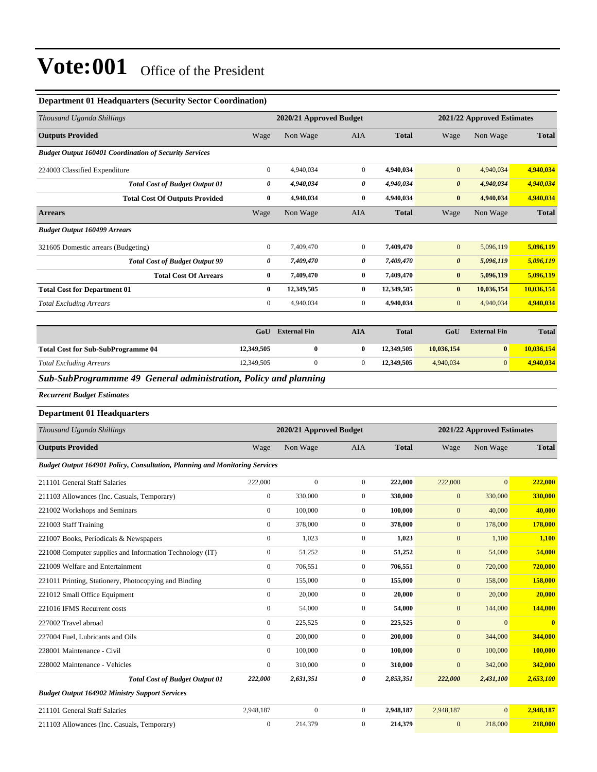#### **Department 01 Headquarters (Security Sector Coordination)**

| Thousand Uganda Shillings                                     |                | 2020/21 Approved Budget |                |              |                       | 2021/22 Approved Estimates |              |
|---------------------------------------------------------------|----------------|-------------------------|----------------|--------------|-----------------------|----------------------------|--------------|
| <b>Outputs Provided</b>                                       | Wage           | Non Wage                | <b>AIA</b>     | <b>Total</b> | Wage                  | Non Wage                   | <b>Total</b> |
| <b>Budget Output 160401 Coordination of Security Services</b> |                |                         |                |              |                       |                            |              |
| 224003 Classified Expenditure                                 | 0              | 4,940,034               | $\mathbf{0}$   | 4,940,034    | $\mathbf{0}$          | 4,940,034                  | 4,940,034    |
| <b>Total Cost of Budget Output 01</b>                         | 0              | 4,940,034               | 0              | 4,940,034    | $\boldsymbol{\theta}$ | 4,940,034                  | 4,940,034    |
| <b>Total Cost Of Outputs Provided</b>                         | $\bf{0}$       | 4,940,034               | $\bf{0}$       | 4,940,034    | $\bf{0}$              | 4,940,034                  | 4,940,034    |
| <b>Arrears</b>                                                | Wage           | Non Wage                | <b>AIA</b>     | <b>Total</b> | Wage                  | Non Wage                   | <b>Total</b> |
| <b>Budget Output 160499 Arrears</b>                           |                |                         |                |              |                       |                            |              |
| 321605 Domestic arrears (Budgeting)                           | $\overline{0}$ | 7,409,470               | $\mathbf{0}$   | 7,409,470    | $\overline{0}$        | 5,096,119                  | 5,096,119    |
| <b>Total Cost of Budget Output 99</b>                         | 0              | 7,409,470               | 0              | 7,409,470    | $\boldsymbol{\theta}$ | 5,096,119                  | 5,096,119    |
| <b>Total Cost Of Arrears</b>                                  | 0              | 7,409,470               | $\bf{0}$       | 7,409,470    | $\bf{0}$              | 5,096,119                  | 5,096,119    |
| <b>Total Cost for Department 01</b>                           | $\bf{0}$       | 12,349,505              | $\bf{0}$       | 12,349,505   | $\bf{0}$              | 10,036,154                 | 10,036,154   |
| <b>Total Excluding Arrears</b>                                | $\overline{0}$ | 4,940,034               | $\overline{0}$ | 4,940,034    | $\mathbf{0}$          | 4,940,034                  | 4,940,034    |
|                                                               |                |                         |                |              |                       |                            |              |
|                                                               | GoU            | <b>External Fin</b>     | <b>AIA</b>     | <b>Total</b> | GoU                   | <b>External Fin</b>        | <b>Total</b> |

|                                           | $\mathbf{u}\mathbf{v}$ | - 2303.001 | <b><i><u>IMMA</u></i></b> | 1 vuu      | $\bm{v}$   | -------------- | 1 vuu      |
|-------------------------------------------|------------------------|------------|---------------------------|------------|------------|----------------|------------|
| <b>Total Cost for Sub-SubProgramme 04</b> | 12,349,505             |            |                           | 12.349.505 | 10.036.154 |                | 10.036.154 |
| <b>Total Excluding Arrears</b>            | 12,349,505             |            |                           | 12.349.505 | 4.940.034  |                | 4,940,034  |
|                                           |                        |            |                           |            |            |                |            |

*Sub-SubProgrammme 49 General administration, Policy and planning*

*Recurrent Budget Estimates*

#### **Department 01 Headquarters**

| Thousand Uganda Shillings                                                          |                  | 2020/21 Approved Budget |                |              |                  | 2021/22 Approved Estimates |                |
|------------------------------------------------------------------------------------|------------------|-------------------------|----------------|--------------|------------------|----------------------------|----------------|
| <b>Outputs Provided</b>                                                            | Wage             | Non Wage                | <b>AIA</b>     | <b>Total</b> | Wage             | Non Wage                   | <b>Total</b>   |
| <b>Budget Output 164901 Policy, Consultation, Planning and Monitoring Services</b> |                  |                         |                |              |                  |                            |                |
| 211101 General Staff Salaries                                                      | 222,000          | $\mathbf{0}$            | $\overline{0}$ | 222,000      | 222,000          | $\mathbf{0}$               | 222,000        |
| 211103 Allowances (Inc. Casuals, Temporary)                                        | $\mathbf{0}$     | 330,000                 | $\overline{0}$ | 330,000      | $\mathbf{0}$     | 330,000                    | 330,000        |
| 221002 Workshops and Seminars                                                      | $\overline{0}$   | 100,000                 | $\overline{0}$ | 100,000      | $\mathbf{0}$     | 40,000                     | 40,000         |
| 221003 Staff Training                                                              | $\mathbf{0}$     | 378,000                 | $\overline{0}$ | 378,000      | $\boldsymbol{0}$ | 178,000                    | 178,000        |
| 221007 Books, Periodicals & Newspapers                                             | $\overline{0}$   | 1,023                   | $\overline{0}$ | 1,023        | $\mathbf{0}$     | 1,100                      | 1,100          |
| 221008 Computer supplies and Information Technology (IT)                           | $\mathbf{0}$     | 51,252                  | $\mathbf{0}$   | 51,252       | $\mathbf{0}$     | 54,000                     | 54,000         |
| 221009 Welfare and Entertainment                                                   | $\mathbf{0}$     | 706,551                 | $\overline{0}$ | 706,551      | $\overline{0}$   | 720,000                    | 720,000        |
| 221011 Printing, Stationery, Photocopying and Binding                              | $\boldsymbol{0}$ | 155,000                 | $\mathbf{0}$   | 155,000      | $\mathbf{0}$     | 158,000                    | 158,000        |
| 221012 Small Office Equipment                                                      | $\mathbf{0}$     | 20,000                  | $\overline{0}$ | 20,000       | $\mathbf{0}$     | 20,000                     | 20,000         |
| 221016 IFMS Recurrent costs                                                        | $\overline{0}$   | 54,000                  | $\overline{0}$ | 54,000       | $\mathbf{0}$     | 144,000                    | 144,000        |
| 227002 Travel abroad                                                               | $\overline{0}$   | 225,525                 | $\overline{0}$ | 225,525      | $\overline{0}$   | $\mathbf{0}$               | $\overline{0}$ |
| 227004 Fuel, Lubricants and Oils                                                   | $\overline{0}$   | 200,000                 | $\overline{0}$ | 200,000      | $\mathbf{0}$     | 344,000                    | 344,000        |
| 228001 Maintenance - Civil                                                         | $\theta$         | 100,000                 | $\overline{0}$ | 100,000      | $\mathbf{0}$     | 100,000                    | 100,000        |
| 228002 Maintenance - Vehicles                                                      | $\mathbf{0}$     | 310,000                 | $\overline{0}$ | 310,000      | $\overline{0}$   | 342,000                    | 342,000        |
| <b>Total Cost of Budget Output 01</b>                                              | 222,000          | 2,631,351               | 0              | 2,853,351    | 222,000          | 2,431,100                  | 2,653,100      |
| <b>Budget Output 164902 Ministry Support Services</b>                              |                  |                         |                |              |                  |                            |                |
| 211101 General Staff Salaries                                                      | 2,948,187        | $\boldsymbol{0}$        | $\overline{0}$ | 2,948,187    | 2,948,187        | $\mathbf{0}$               | 2,948,187      |
| 211103 Allowances (Inc. Casuals, Temporary)                                        | $\mathbf{0}$     | 214,379                 | $\Omega$       | 214,379      | $\overline{0}$   | 218,000                    | 218,000        |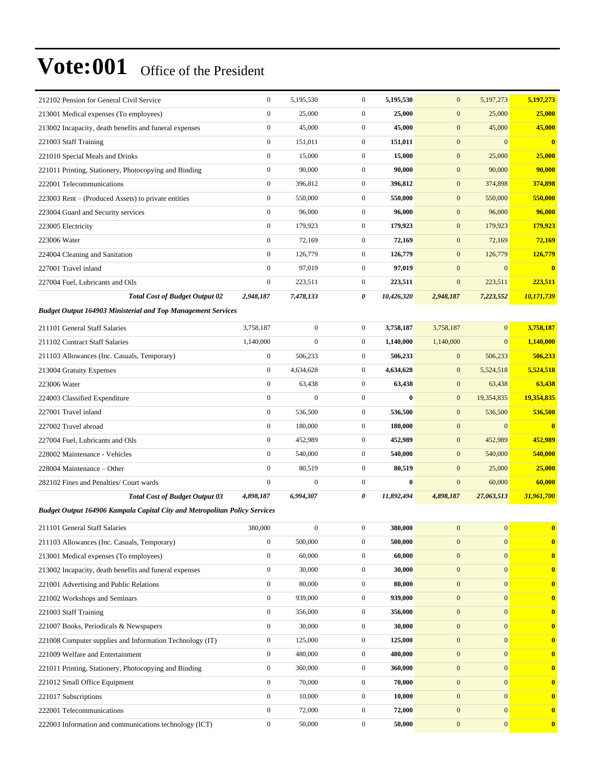| 212102 Pension for General Civil Service                                   | $\mathbf{0}$     | 5,195,530        | $\mathbf{0}$     | 5,195,530  | $\mathbf{0}$     | 5,197,273        | 5,197,273        |
|----------------------------------------------------------------------------|------------------|------------------|------------------|------------|------------------|------------------|------------------|
| 213001 Medical expenses (To employees)                                     | $\boldsymbol{0}$ | 25,000           | $\mathbf{0}$     | 25,000     | $\mathbf{0}$     | 25,000           | 25,000           |
| 213002 Incapacity, death benefits and funeral expenses                     | $\boldsymbol{0}$ | 45,000           | $\mathbf{0}$     | 45,000     | $\mathbf{0}$     | 45,000           | 45,000           |
| 221003 Staff Training                                                      | $\boldsymbol{0}$ | 151,011          | $\boldsymbol{0}$ | 151,011    | $\mathbf{0}$     | $\mathbf{0}$     | $\bf{0}$         |
| 221010 Special Meals and Drinks                                            | $\boldsymbol{0}$ | 15,000           | $\overline{0}$   | 15,000     | $\mathbf{0}$     | 25,000           | 25,000           |
| 221011 Printing, Stationery, Photocopying and Binding                      | $\boldsymbol{0}$ | 90,000           | $\overline{0}$   | 90,000     | $\mathbf{0}$     | 90,000           | 90,000           |
| 222001 Telecommunications                                                  | $\boldsymbol{0}$ | 396,812          | $\mathbf{0}$     | 396,812    | $\mathbf{0}$     | 374,898          | 374,898          |
| 223003 Rent – (Produced Assets) to private entities                        | $\boldsymbol{0}$ | 550,000          | $\mathbf{0}$     | 550,000    | $\mathbf{0}$     | 550,000          | 550,000          |
| 223004 Guard and Security services                                         | $\boldsymbol{0}$ | 96,000           | $\mathbf{0}$     | 96,000     | $\mathbf{0}$     | 96,000           | 96,000           |
| 223005 Electricity                                                         | $\boldsymbol{0}$ | 179,923          | $\mathbf{0}$     | 179,923    | $\mathbf{0}$     | 179,923          | 179,923          |
| 223006 Water                                                               | $\boldsymbol{0}$ | 72,169           | $\mathbf{0}$     | 72,169     | $\mathbf{0}$     | 72,169           | 72,169           |
| 224004 Cleaning and Sanitation                                             | $\boldsymbol{0}$ | 126,779          | $\mathbf{0}$     | 126,779    | $\mathbf{0}$     | 126,779          | 126,779          |
| 227001 Travel inland                                                       | $\mathbf{0}$     | 97,019           | $\overline{0}$   | 97,019     | $\boldsymbol{0}$ | $\mathbf{0}$     | $\boldsymbol{0}$ |
| 227004 Fuel, Lubricants and Oils                                           | $\boldsymbol{0}$ | 223,511          | $\mathbf{0}$     | 223,511    | $\boldsymbol{0}$ | 223,511          | 223,511          |
| <b>Total Cost of Budget Output 02</b>                                      | 2,948,187        | 7,478,133        | 0                | 10,426,320 | 2,948,187        | 7,223,552        | 10,171,739       |
| <b>Budget Output 164903 Ministerial and Top Management Services</b>        |                  |                  |                  |            |                  |                  |                  |
| 211101 General Staff Salaries                                              | 3,758,187        | $\boldsymbol{0}$ | $\boldsymbol{0}$ | 3,758,187  | 3,758,187        | $\mathbf{0}$     | 3,758,187        |
| 211102 Contract Staff Salaries                                             | 1,140,000        | $\boldsymbol{0}$ | $\mathbf{0}$     | 1,140,000  | 1,140,000        | $\mathbf{0}$     | 1,140,000        |
| 211103 Allowances (Inc. Casuals, Temporary)                                | $\boldsymbol{0}$ | 506,233          | $\boldsymbol{0}$ | 506,233    | $\mathbf{0}$     | 506,233          | 506,233          |
| 213004 Gratuity Expenses                                                   | $\boldsymbol{0}$ | 4,634,628        | $\mathbf{0}$     | 4,634,628  | $\mathbf{0}$     | 5,524,518        | 5,524,518        |
| 223006 Water                                                               | $\boldsymbol{0}$ | 63,438           | $\mathbf{0}$     | 63,438     | $\mathbf{0}$     | 63,438           | 63,438           |
| 224003 Classified Expenditure                                              | $\boldsymbol{0}$ | $\boldsymbol{0}$ | $\overline{0}$   | $\bf{0}$   | $\mathbf{0}$     | 19,354,835       | 19,354,835       |
| 227001 Travel inland                                                       | $\boldsymbol{0}$ | 536,500          | $\mathbf{0}$     | 536,500    | $\mathbf{0}$     | 536,500          | 536,500          |
| 227002 Travel abroad                                                       | $\boldsymbol{0}$ | 180,000          | $\overline{0}$   | 180,000    | $\boldsymbol{0}$ | $\mathbf{0}$     | $\bf{0}$         |
| 227004 Fuel, Lubricants and Oils                                           | $\boldsymbol{0}$ | 452,989          | $\mathbf{0}$     | 452,989    | $\mathbf{0}$     | 452,989          | 452,989          |
| 228002 Maintenance - Vehicles                                              | $\boldsymbol{0}$ | 540,000          | $\mathbf{0}$     | 540,000    | $\mathbf{0}$     | 540,000          | 540,000          |
| 228004 Maintenance - Other                                                 | $\boldsymbol{0}$ | 80,519           | $\mathbf{0}$     | 80,519     | $\mathbf{0}$     | 25,000           | 25,000           |
| 282102 Fines and Penalties/ Court wards                                    | $\boldsymbol{0}$ | $\boldsymbol{0}$ | $\mathbf{0}$     | $\bf{0}$   | $\boldsymbol{0}$ | 60,000           | 60,000           |
| <b>Total Cost of Budget Output 03</b>                                      | 4,898,187        | 6,994,307        | 0                | 11,892,494 | 4,898,187        | 27,063,513       | 31,961,700       |
| Budget Output 164906 Kampala Capital City and Metropolitan Policy Services |                  |                  |                  |            |                  |                  |                  |
| 211101 General Staff Salaries                                              | 380,000          | $\boldsymbol{0}$ | $\mathbf{0}$     | 380,000    | $\mathbf{0}$     | $\mathbf{0}$     | $\mathbf{0}$     |
| 211103 Allowances (Inc. Casuals, Temporary)                                | $\boldsymbol{0}$ | 500,000          | $\overline{0}$   | 500,000    | $\mathbf{0}$     | $\boldsymbol{0}$ | $\bf{0}$         |
| 213001 Medical expenses (To employees)                                     | $\boldsymbol{0}$ | 60,000           | $\boldsymbol{0}$ | 60,000     | $\mathbf{0}$     | $\mathbf{0}$     | $\mathbf{0}$     |
| 213002 Incapacity, death benefits and funeral expenses                     | $\boldsymbol{0}$ | 30,000           | $\mathbf{0}$     | 30,000     | $\mathbf{0}$     | $\mathbf{0}$     | $\mathbf{0}$     |
| 221001 Advertising and Public Relations                                    | $\boldsymbol{0}$ | 80,000           | $\boldsymbol{0}$ | 80,000     | $\boldsymbol{0}$ | $\mathbf{0}$     | $\bf{0}$         |
| 221002 Workshops and Seminars                                              | $\boldsymbol{0}$ | 939,000          | $\mathbf{0}$     | 939,000    | $\mathbf{0}$     | $\mathbf{0}$     | $\bf{0}$         |
| 221003 Staff Training                                                      | $\boldsymbol{0}$ | 356,000          | $\mathbf{0}$     | 356,000    | $\mathbf{0}$     | $\mathbf{0}$     | $\bf{0}$         |
| 221007 Books, Periodicals & Newspapers                                     | $\boldsymbol{0}$ | 30,000           | $\boldsymbol{0}$ | 30,000     | $\mathbf{0}$     | $\mathbf{0}$     | $\bf{0}$         |
| 221008 Computer supplies and Information Technology (IT)                   | $\boldsymbol{0}$ | 125,000          | $\mathbf{0}$     | 125,000    | $\mathbf{0}$     | $\mathbf{0}$     | $\bf{0}$         |
| 221009 Welfare and Entertainment                                           | $\boldsymbol{0}$ | 480,000          | $\overline{0}$   | 480,000    | $\boldsymbol{0}$ | $\mathbf{0}$     | $\bf{0}$         |
| 221011 Printing, Stationery, Photocopying and Binding                      | $\boldsymbol{0}$ | 360,000          | $\mathbf{0}$     | 360,000    | $\mathbf{0}$     | $\mathbf{0}$     | $\bf{0}$         |
| 221012 Small Office Equipment                                              | $\boldsymbol{0}$ | 70,000           | $\mathbf{0}$     | 70,000     | $\mathbf{0}$     | $\mathbf{0}$     | $\bf{0}$         |
| 221017 Subscriptions                                                       | $\boldsymbol{0}$ | 10,000           | $\boldsymbol{0}$ | 10,000     | $\mathbf{0}$     | $\mathbf{0}$     | $\bf{0}$         |
| 222001 Telecommunications                                                  | $\boldsymbol{0}$ | 72,000           | $\mathbf{0}$     | 72,000     | $\mathbf{0}$     | $\mathbf{0}$     | $\bf{0}$         |
| 222003 Information and communications technology (ICT)                     | $\boldsymbol{0}$ | 50,000           | $\boldsymbol{0}$ | 50,000     | $\boldsymbol{0}$ | $\mathbf{0}$     | $\bf{0}$         |
|                                                                            |                  |                  |                  |            |                  |                  |                  |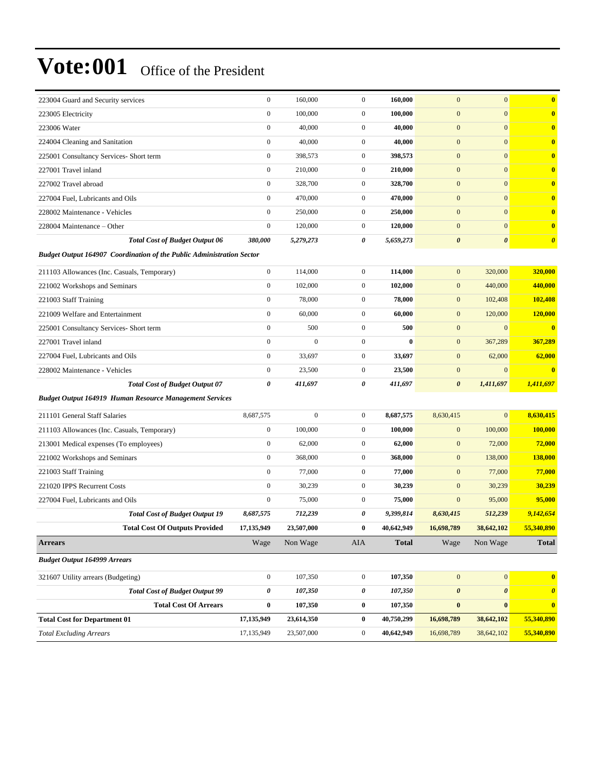| 223004 Guard and Security services                                           | $\boldsymbol{0}$      | 160,000          | $\boldsymbol{0}$ | 160,000      | $\mathbf{0}$          | $\overline{0}$        | $\bf{0}$                |
|------------------------------------------------------------------------------|-----------------------|------------------|------------------|--------------|-----------------------|-----------------------|-------------------------|
| 223005 Electricity                                                           | $\boldsymbol{0}$      | 100,000          | $\boldsymbol{0}$ | 100,000      | $\mathbf{0}$          | $\boldsymbol{0}$      | $\bf{0}$                |
| 223006 Water                                                                 | $\mathbf{0}$          | 40,000           | $\boldsymbol{0}$ | 40,000       | $\mathbf{0}$          | $\overline{0}$        | $\bf{0}$                |
| 224004 Cleaning and Sanitation                                               | $\boldsymbol{0}$      | 40,000           | $\boldsymbol{0}$ | 40,000       | $\mathbf{0}$          | $\mathbf{0}$          | $\bf{0}$                |
| 225001 Consultancy Services- Short term                                      | $\boldsymbol{0}$      | 398,573          | $\boldsymbol{0}$ | 398,573      | $\boldsymbol{0}$      | $\mathbf{0}$          | $\bf{0}$                |
| 227001 Travel inland                                                         | $\boldsymbol{0}$      | 210,000          | $\boldsymbol{0}$ | 210,000      | $\mathbf{0}$          | $\mathbf{0}$          | $\bf{0}$                |
| 227002 Travel abroad                                                         | $\boldsymbol{0}$      | 328,700          | $\boldsymbol{0}$ | 328,700      | $\mathbf{0}$          | $\mathbf{0}$          | $\bf{0}$                |
| 227004 Fuel, Lubricants and Oils                                             | $\mathbf{0}$          | 470,000          | $\boldsymbol{0}$ | 470,000      | $\mathbf{0}$          | $\overline{0}$        | $\bf{0}$                |
| 228002 Maintenance - Vehicles                                                | $\boldsymbol{0}$      | 250,000          | $\boldsymbol{0}$ | 250,000      | $\mathbf{0}$          | $\mathbf{0}$          | $\bf{0}$                |
| 228004 Maintenance – Other                                                   | $\boldsymbol{0}$      | 120,000          | $\mathbf{0}$     | 120,000      | $\boldsymbol{0}$      | $\overline{0}$        | $\bf{0}$                |
| <b>Total Cost of Budget Output 06</b>                                        | 380,000               | 5,279,273        | 0                | 5,659,273    | $\boldsymbol{\theta}$ | $\boldsymbol{\theta}$ | $\boldsymbol{\theta}$   |
| <b>Budget Output 164907 Coordination of the Public Administration Sector</b> |                       |                  |                  |              |                       |                       |                         |
| 211103 Allowances (Inc. Casuals, Temporary)                                  | $\boldsymbol{0}$      | 114,000          | $\mathbf{0}$     | 114,000      | $\mathbf{0}$          | 320,000               | 320,000                 |
| 221002 Workshops and Seminars                                                | $\boldsymbol{0}$      | 102,000          | $\boldsymbol{0}$ | 102,000      | $\mathbf{0}$          | 440,000               | 440,000                 |
| 221003 Staff Training                                                        | $\boldsymbol{0}$      | 78,000           | $\boldsymbol{0}$ | 78,000       | $\mathbf{0}$          | 102,408               | 102,408                 |
| 221009 Welfare and Entertainment                                             | $\mathbf{0}$          | 60,000           | $\mathbf{0}$     | 60,000       | $\mathbf{0}$          | 120,000               | 120,000                 |
| 225001 Consultancy Services- Short term                                      | $\boldsymbol{0}$      | 500              | $\boldsymbol{0}$ | 500          | $\mathbf{0}$          | $\overline{0}$        | $\overline{\mathbf{0}}$ |
| 227001 Travel inland                                                         | $\boldsymbol{0}$      | $\mathbf{0}$     | $\boldsymbol{0}$ | $\bf{0}$     | $\boldsymbol{0}$      | 367,289               | 367,289                 |
| 227004 Fuel, Lubricants and Oils                                             | $\boldsymbol{0}$      | 33,697           | $\mathbf{0}$     | 33,697       | $\mathbf{0}$          | 62,000                | 62,000                  |
| 228002 Maintenance - Vehicles                                                | $\boldsymbol{0}$      | 23,500           | $\boldsymbol{0}$ | 23,500       | $\mathbf{0}$          | $\mathbf{0}$          | $\overline{\mathbf{0}}$ |
| <b>Total Cost of Budget Output 07</b>                                        | $\boldsymbol{\theta}$ | 411,697          | 0                | 411,697      | $\boldsymbol{\theta}$ | 1,411,697             | 1,411,697               |
| <b>Budget Output 164919 Human Resource Management Services</b>               |                       |                  |                  |              |                       |                       |                         |
| 211101 General Staff Salaries                                                | 8,687,575             | $\boldsymbol{0}$ | $\boldsymbol{0}$ | 8,687,575    | 8,630,415             | $\overline{0}$        | 8,630,415               |
| 211103 Allowances (Inc. Casuals, Temporary)                                  | $\boldsymbol{0}$      | 100,000          | $\boldsymbol{0}$ | 100,000      | $\mathbf{0}$          | 100,000               | 100,000                 |
| 213001 Medical expenses (To employees)                                       | $\boldsymbol{0}$      | 62,000           | $\mathbf{0}$     | 62,000       | $\mathbf{0}$          | 72,000                | 72,000                  |
| 221002 Workshops and Seminars                                                | $\boldsymbol{0}$      | 368,000          | $\boldsymbol{0}$ | 368,000      | $\mathbf{0}$          | 138,000               | 138,000                 |
| 221003 Staff Training                                                        | $\boldsymbol{0}$      | 77,000           | $\mathbf{0}$     | 77,000       | $\mathbf{0}$          | 77,000                | 77,000                  |
| 221020 IPPS Recurrent Costs                                                  | $\boldsymbol{0}$      | 30,239           | $\boldsymbol{0}$ | 30,239       | $\mathbf{0}$          | 30,239                | 30,239                  |
| 227004 Fuel. Lubricants and Oils                                             | $\boldsymbol{0}$      | 75,000           | $\mathbf{0}$     | 75,000       | $\mathbf{0}$          | 95,000                | 95,000                  |
| <b>Total Cost of Budget Output 19</b>                                        | 8,687,575             | 712,239          | 0                | 9,399,814    | 8,630,415             | 512,239               | 9,142,654               |
| <b>Total Cost Of Outputs Provided</b>                                        | 17,135,949            | 23,507,000       | $\bf{0}$         | 40,642,949   | 16,698,789            | 38,642,102            | 55,340,890              |
| <b>Arrears</b>                                                               | Wage                  | Non Wage         | AIA              | <b>Total</b> | Wage                  | Non Wage              | Total                   |
| <b>Budget Output 164999 Arrears</b>                                          |                       |                  |                  |              |                       |                       |                         |
| 321607 Utility arrears (Budgeting)                                           | $\boldsymbol{0}$      | 107,350          | $\boldsymbol{0}$ | 107,350      | $\boldsymbol{0}$      | $\boldsymbol{0}$      | $\mathbf{0}$            |
| <b>Total Cost of Budget Output 99</b>                                        | 0                     | 107,350          | 0                | 107,350      | $\boldsymbol{\theta}$ | 0                     | $\boldsymbol{\theta}$   |
| <b>Total Cost Of Arrears</b>                                                 | $\bf{0}$              | 107,350          | $\bf{0}$         | 107,350      | $\bf{0}$              | $\boldsymbol{0}$      | $\mathbf{0}$            |
| <b>Total Cost for Department 01</b>                                          | 17,135,949            | 23,614,350       | $\bf{0}$         | 40,750,299   | 16,698,789            | 38,642,102            | 55,340,890              |
| <b>Total Excluding Arrears</b>                                               | 17,135,949            | 23,507,000       | $\boldsymbol{0}$ | 40,642,949   | 16,698,789            | 38,642,102            | 55,340,890              |
|                                                                              |                       |                  |                  |              |                       |                       |                         |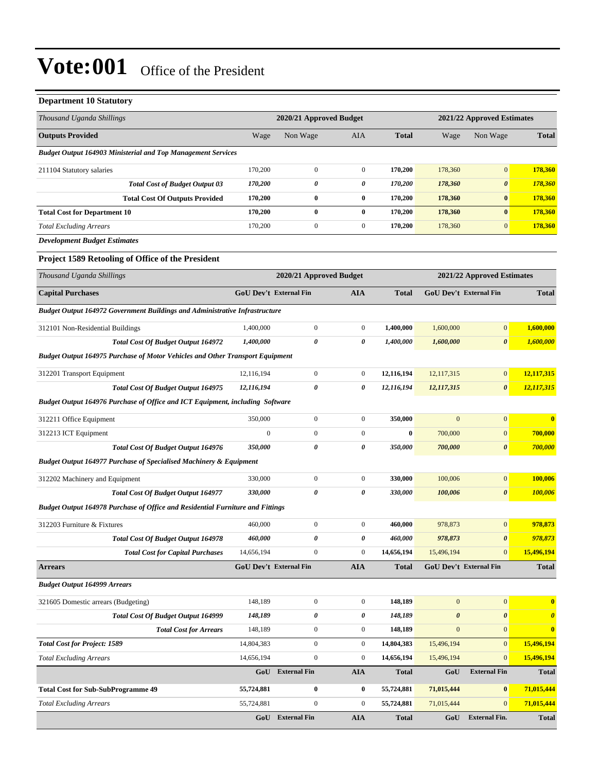| <b>Department 10 Statutory</b>                                                        |                         |                               |                  |              |                            |                               |                       |  |
|---------------------------------------------------------------------------------------|-------------------------|-------------------------------|------------------|--------------|----------------------------|-------------------------------|-----------------------|--|
| Thousand Uganda Shillings                                                             | 2020/21 Approved Budget |                               |                  |              | 2021/22 Approved Estimates |                               |                       |  |
| <b>Outputs Provided</b>                                                               | Wage                    | Non Wage                      | AIA              | <b>Total</b> | Wage                       | Non Wage                      | <b>Total</b>          |  |
| <b>Budget Output 164903 Ministerial and Top Management Services</b>                   |                         |                               |                  |              |                            |                               |                       |  |
| 211104 Statutory salaries                                                             | 170,200                 | $\boldsymbol{0}$              | $\boldsymbol{0}$ | 170,200      | 178,360                    | $\boldsymbol{0}$              | 178,360               |  |
| <b>Total Cost of Budget Output 03</b>                                                 | 170,200                 | 0                             | 0                | 170,200      | 178,360                    | 0                             | 178,360               |  |
| <b>Total Cost Of Outputs Provided</b>                                                 | 170,200                 | $\bf{0}$                      | $\bf{0}$         | 170,200      | 178,360                    | $\bf{0}$                      | 178,360               |  |
| <b>Total Cost for Department 10</b>                                                   | 170,200                 | $\bf{0}$                      | $\bf{0}$         | 170,200      | 178,360                    | $\bf{0}$                      | 178,360               |  |
| <b>Total Excluding Arrears</b>                                                        | 170,200                 | $\boldsymbol{0}$              | $\boldsymbol{0}$ | 170,200      | 178,360                    | $\boldsymbol{0}$              | 178,360               |  |
| <b>Development Budget Estimates</b>                                                   |                         |                               |                  |              |                            |                               |                       |  |
| Project 1589 Retooling of Office of the President                                     |                         |                               |                  |              |                            |                               |                       |  |
| Thousand Uganda Shillings                                                             |                         | 2020/21 Approved Budget       |                  |              | 2021/22 Approved Estimates |                               |                       |  |
| <b>Capital Purchases</b>                                                              |                         | <b>GoU Dev't External Fin</b> | <b>AIA</b>       | <b>Total</b> |                            | <b>GoU Dev't External Fin</b> | <b>Total</b>          |  |
| <b>Budget Output 164972 Government Buildings and Administrative Infrastructure</b>    |                         |                               |                  |              |                            |                               |                       |  |
| 312101 Non-Residential Buildings                                                      | 1,400,000               | $\boldsymbol{0}$              | $\boldsymbol{0}$ | 1,400,000    | 1,600,000                  | $\mathbf{0}$                  | 1,600,000             |  |
| <b>Total Cost Of Budget Output 164972</b>                                             | 1,400,000               | 0                             | 0                | 1,400,000    | 1,600,000                  | $\boldsymbol{\theta}$         | 1,600,000             |  |
| <b>Budget Output 164975 Purchase of Motor Vehicles and Other Transport Equipment</b>  |                         |                               |                  |              |                            |                               |                       |  |
| 312201 Transport Equipment                                                            | 12,116,194              | $\boldsymbol{0}$              | $\boldsymbol{0}$ | 12,116,194   | 12,117,315                 | $\overline{0}$                | 12,117,315            |  |
| Total Cost Of Budget Output 164975                                                    | 12,116,194              | 0                             | 0                | 12,116,194   | 12,117,315                 | $\boldsymbol{\theta}$         | 12,117,315            |  |
| Budget Output 164976 Purchase of Office and ICT Equipment, including Software         |                         |                               |                  |              |                            |                               |                       |  |
| 312211 Office Equipment                                                               | 350,000                 | $\boldsymbol{0}$              | $\boldsymbol{0}$ | 350,000      | $\mathbf{0}$               | $\boldsymbol{0}$              | $\bf{0}$              |  |
| 312213 ICT Equipment                                                                  | $\boldsymbol{0}$        | $\boldsymbol{0}$              | $\boldsymbol{0}$ | $\bf{0}$     | 700,000                    | $\mathbf{0}$                  | 700,000               |  |
| Total Cost Of Budget Output 164976                                                    | 350,000                 | 0                             | 0                | 350,000      | 700,000                    | $\boldsymbol{\theta}$         | 700,000               |  |
| <b>Budget Output 164977 Purchase of Specialised Machinery &amp; Equipment</b>         |                         |                               |                  |              |                            |                               |                       |  |
| 312202 Machinery and Equipment                                                        | 330,000                 | $\boldsymbol{0}$              | $\boldsymbol{0}$ | 330,000      | 100,006                    | $\overline{0}$                | 100,006               |  |
| Total Cost Of Budget Output 164977                                                    | 330,000                 | 0                             | 0                | 330,000      | 100,006                    | $\boldsymbol{\theta}$         | 100,006               |  |
| <b>Budget Output 164978 Purchase of Office and Residential Furniture and Fittings</b> |                         |                               |                  |              |                            |                               |                       |  |
| 312203 Furniture & Fixtures                                                           | 460,000                 | $\boldsymbol{0}$              | $\boldsymbol{0}$ | 460,000      | 978,873                    | $\mathbf{0}$                  | 978,873               |  |
| Total Cost Of Budget Output 164978                                                    | 460,000                 | 0                             | $\pmb{\theta}$   | 460,000      | 978,873                    | $\pmb{\theta}$                | 978,873               |  |
| <b>Total Cost for Capital Purchases</b>                                               | 14,656,194              | $\boldsymbol{0}$              | $\boldsymbol{0}$ | 14,656,194   | 15,496,194                 | $\mathbf{0}$                  | 15,496,194            |  |
| <b>Arrears</b>                                                                        |                         | <b>GoU Dev't External Fin</b> | <b>AIA</b>       | <b>Total</b> |                            | <b>GoU Dev't External Fin</b> | <b>Total</b>          |  |
| <b>Budget Output 164999 Arrears</b>                                                   |                         |                               |                  |              |                            |                               |                       |  |
| 321605 Domestic arrears (Budgeting)                                                   | 148,189                 | $\boldsymbol{0}$              | $\boldsymbol{0}$ | 148,189      | $\mathbf{0}$               | $\mathbf{0}$                  | $\bf{0}$              |  |
| Total Cost Of Budget Output 164999                                                    | 148,189                 | 0                             | 0                | 148,189      | $\boldsymbol{\theta}$      | $\boldsymbol{\theta}$         | $\boldsymbol{\theta}$ |  |
| <b>Total Cost for Arrears</b>                                                         | 148,189                 | $\boldsymbol{0}$              | $\boldsymbol{0}$ | 148,189      | $\boldsymbol{0}$           | $\mathbf{0}$                  | $\bf{0}$              |  |
| <b>Total Cost for Project: 1589</b>                                                   | 14,804,383              | $\boldsymbol{0}$              | $\boldsymbol{0}$ | 14,804,383   | 15,496,194                 | $\mathbf{0}$                  | 15,496,194            |  |
| <b>Total Excluding Arrears</b>                                                        | 14,656,194              | $\boldsymbol{0}$              | $\boldsymbol{0}$ | 14,656,194   | 15,496,194                 | $\mathbf{0}$                  | 15,496,194            |  |
|                                                                                       | GoU                     | <b>External Fin</b>           | AIA              | <b>Total</b> | GoU                        | <b>External Fin</b>           | Total                 |  |
| <b>Total Cost for Sub-SubProgramme 49</b>                                             | 55,724,881              | $\boldsymbol{0}$              | $\bf{0}$         | 55,724,881   | 71,015,444                 | $\bf{0}$                      | 71,015,444            |  |
| <b>Total Excluding Arrears</b>                                                        | 55,724,881              | $\boldsymbol{0}$              | $\boldsymbol{0}$ | 55,724,881   | 71,015,444                 | $\mathbf{0}$                  | 71,015,444            |  |
|                                                                                       |                         | GoU External Fin              | ${\bf A I A}$    | <b>Total</b> | GoU                        | <b>External Fin.</b>          | <b>Total</b>          |  |